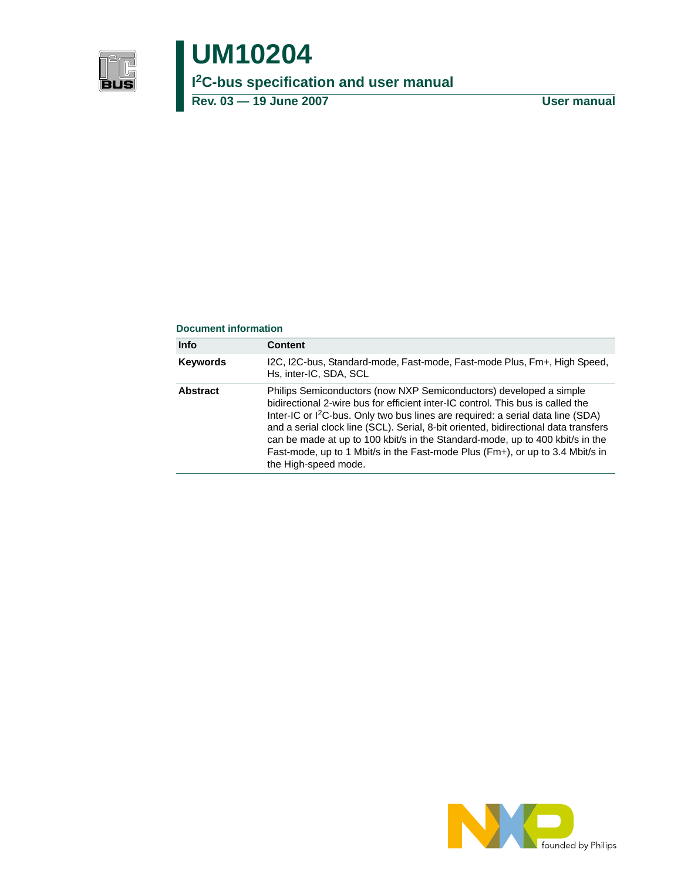

# **UM10204**

**I 2C-bus specification and user manual**

**Rev. 03 — 19 June 2007 User manual**

#### **Document information**

| <b>Info</b>     | Content                                                                                                                                                                                                                                                                                                                                                                                                                                                                                                                               |
|-----------------|---------------------------------------------------------------------------------------------------------------------------------------------------------------------------------------------------------------------------------------------------------------------------------------------------------------------------------------------------------------------------------------------------------------------------------------------------------------------------------------------------------------------------------------|
| Keywords        | I2C, I2C-bus, Standard-mode, Fast-mode, Fast-mode Plus, Fm+, High Speed,<br>Hs, inter-IC, SDA, SCL                                                                                                                                                                                                                                                                                                                                                                                                                                    |
| <b>Abstract</b> | Philips Semiconductors (now NXP Semiconductors) developed a simple<br>bidirectional 2-wire bus for efficient inter-IC control. This bus is called the<br>Inter-IC or I <sup>2</sup> C-bus. Only two bus lines are required: a serial data line (SDA)<br>and a serial clock line (SCL). Serial, 8-bit oriented, bidirectional data transfers<br>can be made at up to 100 kbit/s in the Standard-mode, up to 400 kbit/s in the<br>Fast-mode, up to 1 Mbit/s in the Fast-mode Plus (Fm+), or up to 3.4 Mbit/s in<br>the High-speed mode. |

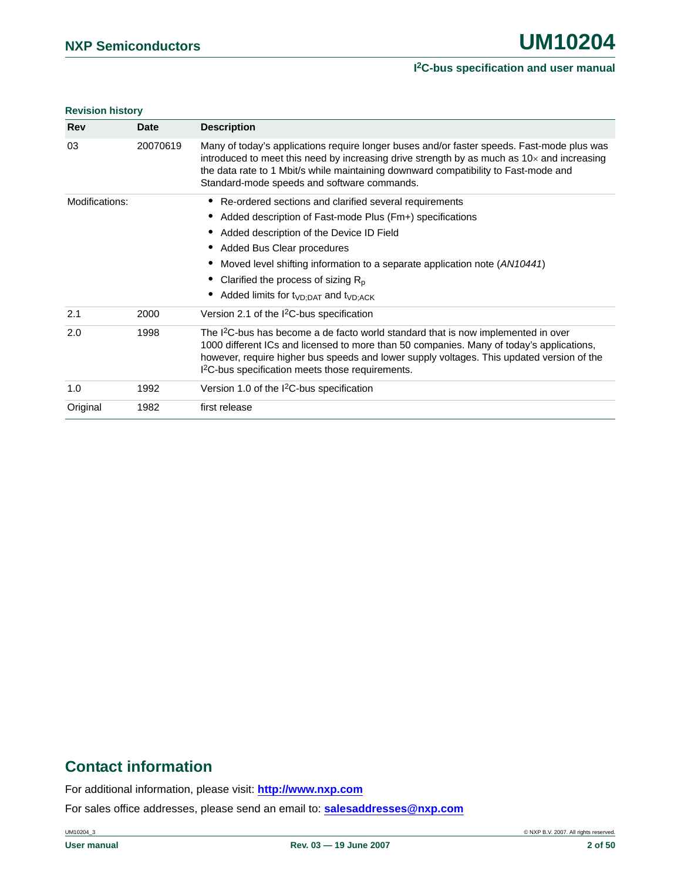#### **Revision history**

| <b>Rev</b>     | <b>Date</b> | <b>Description</b>                                                                                                                                                                                                                                                                                                                                     |
|----------------|-------------|--------------------------------------------------------------------------------------------------------------------------------------------------------------------------------------------------------------------------------------------------------------------------------------------------------------------------------------------------------|
| 03             | 20070619    | Many of today's applications require longer buses and/or faster speeds. Fast-mode plus was<br>introduced to meet this need by increasing drive strength by as much as $10\times$ and increasing<br>the data rate to 1 Mbit/s while maintaining downward compatibility to Fast-mode and<br>Standard-mode speeds and software commands.                  |
| Modifications: |             | Re-ordered sections and clarified several requirements                                                                                                                                                                                                                                                                                                 |
|                |             | Added description of Fast-mode Plus (Fm+) specifications                                                                                                                                                                                                                                                                                               |
|                |             | Added description of the Device ID Field                                                                                                                                                                                                                                                                                                               |
|                |             | Added Bus Clear procedures                                                                                                                                                                                                                                                                                                                             |
|                |             | Moved level shifting information to a separate application note (AN10441)                                                                                                                                                                                                                                                                              |
|                |             | Clarified the process of sizing $R_p$                                                                                                                                                                                                                                                                                                                  |
|                |             | Added limits for $t_{VD;DAT}$ and $t_{VD;ACK}$                                                                                                                                                                                                                                                                                                         |
| 2.1            | 2000        | Version 2.1 of the $1^2C$ -bus specification                                                                                                                                                                                                                                                                                                           |
| 2.0            | 1998        | The I <sup>2</sup> C-bus has become a de facto world standard that is now implemented in over<br>1000 different ICs and licensed to more than 50 companies. Many of today's applications,<br>however, require higher bus speeds and lower supply voltages. This updated version of the<br>I <sup>2</sup> C-bus specification meets those requirements. |
| 1.0            | 1992        | Version 1.0 of the I <sup>2</sup> C-bus specification                                                                                                                                                                                                                                                                                                  |
| Original       | 1982        | first release                                                                                                                                                                                                                                                                                                                                          |

## **Contact information**

For additional information, please visit: **http://www.nxp.com**

For sales office addresses, please send an email to: **salesaddresses@nxp.com**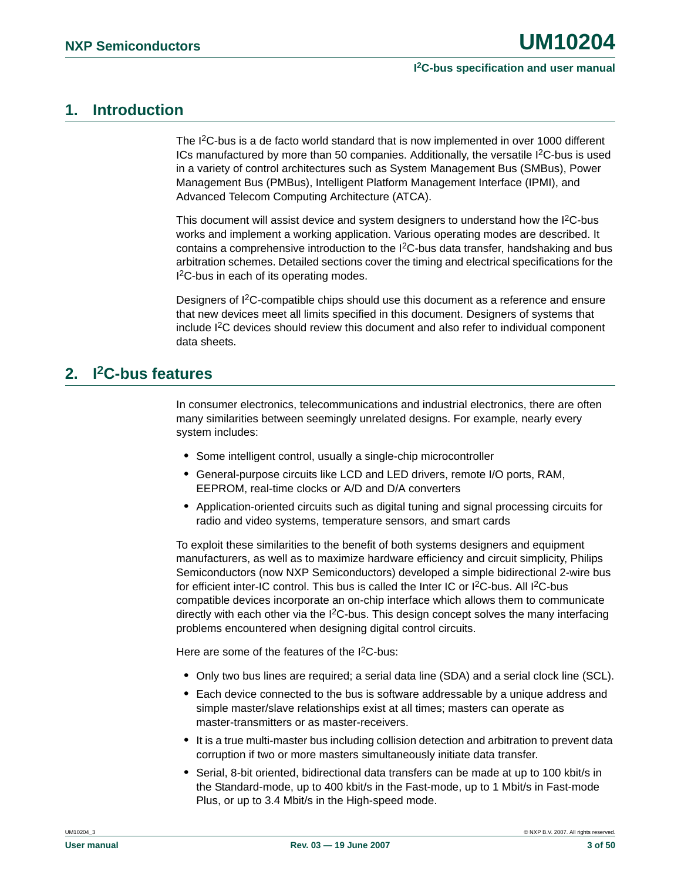### <span id="page-2-0"></span>**1. Introduction**

The I<sup>2</sup>C-bus is a de facto world standard that is now implemented in over 1000 different ICs manufactured by more than 50 companies. Additionally, the versatile  $l^2C$ -bus is used in a variety of control architectures such as System Management Bus (SMBus), Power Management Bus (PMBus), Intelligent Platform Management Interface (IPMI), and Advanced Telecom Computing Architecture (ATCA).

This document will assist device and system designers to understand how the I<sup>2</sup>C-bus works and implement a working application. Various operating modes are described. It contains a comprehensive introduction to the I<sup>2</sup>C-bus data transfer, handshaking and bus arbitration schemes. Detailed sections cover the timing and electrical specifications for the I 2C-bus in each of its operating modes.

Designers of I<sup>2</sup>C-compatible chips should use this document as a reference and ensure that new devices meet all limits specified in this document. Designers of systems that include I2C devices should review this document and also refer to individual component data sheets.

### <span id="page-2-1"></span>**2. I2C-bus features**

In consumer electronics, telecommunications and industrial electronics, there are often many similarities between seemingly unrelated designs. For example, nearly every system includes:

- **•** Some intelligent control, usually a single-chip microcontroller
- **•** General-purpose circuits like LCD and LED drivers, remote I/O ports, RAM, EEPROM, real-time clocks or A/D and D/A converters
- **•** Application-oriented circuits such as digital tuning and signal processing circuits for radio and video systems, temperature sensors, and smart cards

To exploit these similarities to the benefit of both systems designers and equipment manufacturers, as well as to maximize hardware efficiency and circuit simplicity, Philips Semiconductors (now NXP Semiconductors) developed a simple bidirectional 2-wire bus for efficient inter-IC control. This bus is called the Inter IC or  $I^2C$ -bus. All  $I^2C$ -bus compatible devices incorporate an on-chip interface which allows them to communicate directly with each other via the  $1<sup>2</sup>C-bus$ . This design concept solves the many interfacing problems encountered when designing digital control circuits.

Here are some of the features of the  $12C$ -bus:

- **•** Only two bus lines are required; a serial data line (SDA) and a serial clock line (SCL).
- **•** Each device connected to the bus is software addressable by a unique address and simple master/slave relationships exist at all times; masters can operate as master-transmitters or as master-receivers.
- **•** It is a true multi-master bus including collision detection and arbitration to prevent data corruption if two or more masters simultaneously initiate data transfer.
- **•** Serial, 8-bit oriented, bidirectional data transfers can be made at up to 100 kbit/s in the Standard-mode, up to 400 kbit/s in the Fast-mode, up to 1 Mbit/s in Fast-mode Plus, or up to 3.4 Mbit/s in the High-speed mode.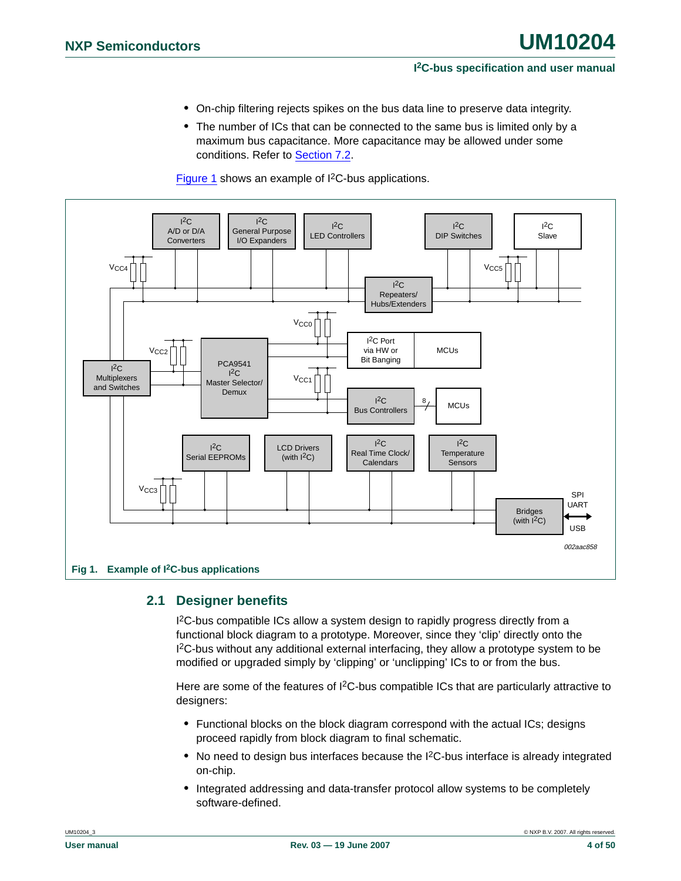- **•** On-chip filtering rejects spikes on the bus data line to preserve data integrity.
- **•** The number of ICs that can be connected to the same bus is limited only by a maximum bus capacitance. More capacitance may be allowed under some conditions. Refer to [Section 7.2](#page-42-0).

[Figure 1](#page-3-0) shows an example of I<sup>2</sup>C-bus applications.



### <span id="page-3-1"></span><span id="page-3-0"></span>**2.1 Designer benefits**

<sup>2</sup>C-bus compatible ICs allow a system design to rapidly progress directly from a functional block diagram to a prototype. Moreover, since they 'clip' directly onto the I 2C-bus without any additional external interfacing, they allow a prototype system to be modified or upgraded simply by 'clipping' or 'unclipping' ICs to or from the bus.

Here are some of the features of  $l^2C$ -bus compatible ICs that are particularly attractive to designers:

- **•** Functional blocks on the block diagram correspond with the actual ICs; designs proceed rapidly from block diagram to final schematic.
- No need to design bus interfaces because the I<sup>2</sup>C-bus interface is already integrated on-chip.
- **•** Integrated addressing and data-transfer protocol allow systems to be completely software-defined.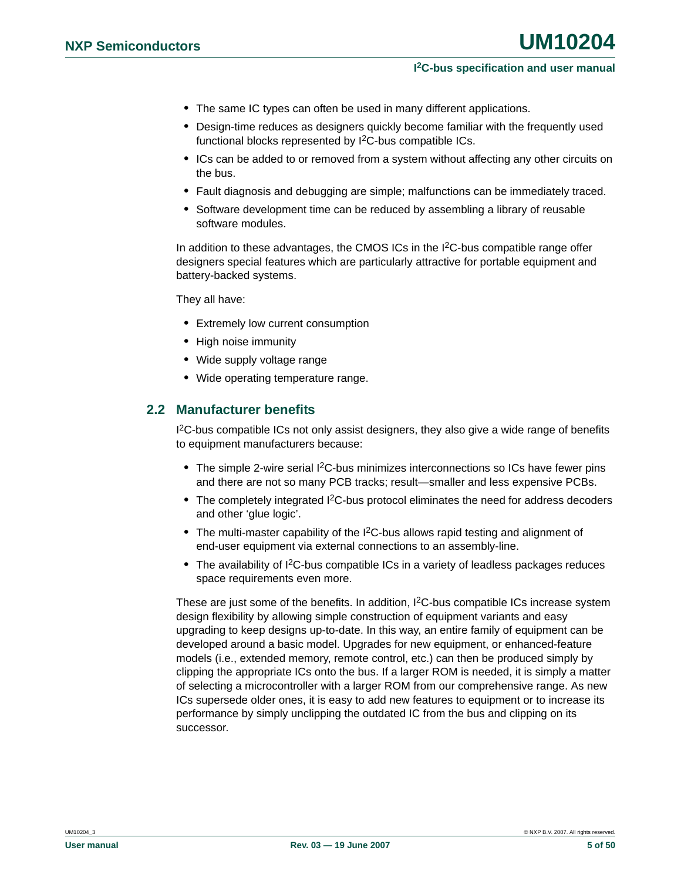- **•** The same IC types can often be used in many different applications.
- **•** Design-time reduces as designers quickly become familiar with the frequently used functional blocks represented by I<sup>2</sup>C-bus compatible ICs.
- **•** ICs can be added to or removed from a system without affecting any other circuits on the bus.
- **•** Fault diagnosis and debugging are simple; malfunctions can be immediately traced.
- **•** Software development time can be reduced by assembling a library of reusable software modules.

In addition to these advantages, the CMOS ICs in the I<sup>2</sup>C-bus compatible range offer designers special features which are particularly attractive for portable equipment and battery-backed systems.

They all have:

- **•** Extremely low current consumption
- **•** High noise immunity
- **•** Wide supply voltage range
- **•** Wide operating temperature range.

#### <span id="page-4-0"></span>**2.2 Manufacturer benefits**

<sup>12</sup>C-bus compatible ICs not only assist designers, they also give a wide range of benefits to equipment manufacturers because:

- The simple 2-wire serial I<sup>2</sup>C-bus minimizes interconnections so ICs have fewer pins and there are not so many PCB tracks; result—smaller and less expensive PCBs.
- The completely integrated I<sup>2</sup>C-bus protocol eliminates the need for address decoders and other 'glue logic'.
- **•** The multi-master capability of the I2C-bus allows rapid testing and alignment of end-user equipment via external connections to an assembly-line.
- The availability of I<sup>2</sup>C-bus compatible ICs in a variety of leadless packages reduces space requirements even more.

These are just some of the benefits. In addition,  $I^2C$ -bus compatible ICs increase system design flexibility by allowing simple construction of equipment variants and easy upgrading to keep designs up-to-date. In this way, an entire family of equipment can be developed around a basic model. Upgrades for new equipment, or enhanced-feature models (i.e., extended memory, remote control, etc.) can then be produced simply by clipping the appropriate ICs onto the bus. If a larger ROM is needed, it is simply a matter of selecting a microcontroller with a larger ROM from our comprehensive range. As new ICs supersede older ones, it is easy to add new features to equipment or to increase its performance by simply unclipping the outdated IC from the bus and clipping on its successor.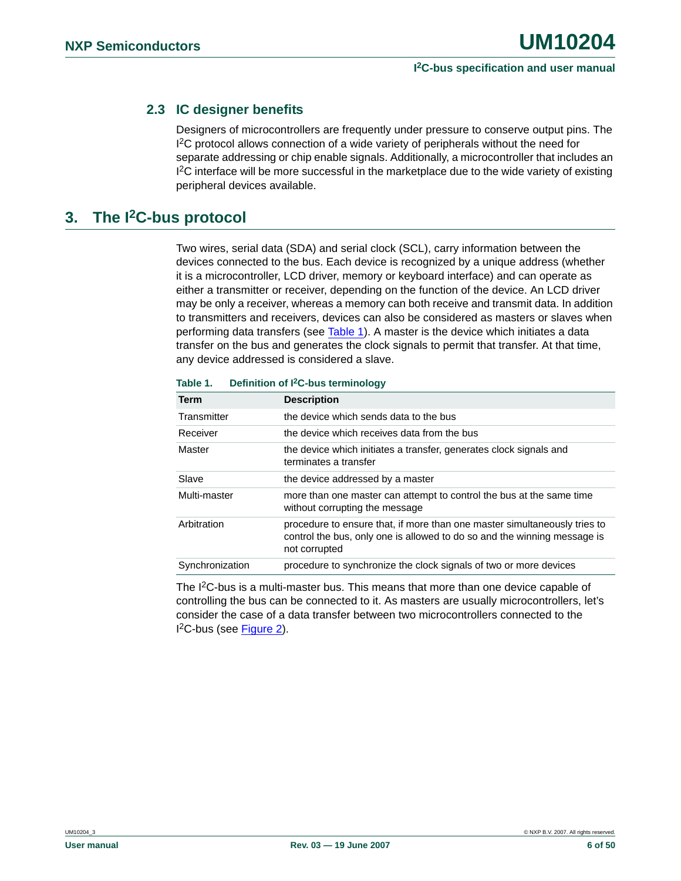### <span id="page-5-1"></span>**2.3 IC designer benefits**

Designers of microcontrollers are frequently under pressure to conserve output pins. The <sup>12</sup>C protocol allows connection of a wide variety of peripherals without the need for separate addressing or chip enable signals. Additionally, a microcontroller that includes an <sup>12</sup>C interface will be more successful in the marketplace due to the wide variety of existing peripheral devices available.

### <span id="page-5-2"></span>**3. The I2C-bus protocol**

Two wires, serial data (SDA) and serial clock (SCL), carry information between the devices connected to the bus. Each device is recognized by a unique address (whether it is a microcontroller, LCD driver, memory or keyboard interface) and can operate as either a transmitter or receiver, depending on the function of the device. An LCD driver may be only a receiver, whereas a memory can both receive and transmit data. In addition to transmitters and receivers, devices can also be considered as masters or slaves when performing data transfers (see [Table 1](#page-5-0)). A master is the device which initiates a data transfer on the bus and generates the clock signals to permit that transfer. At that time, any device addressed is considered a slave.

| <b>Term</b>     | <b>Description</b>                                                                                                                                                     |
|-----------------|------------------------------------------------------------------------------------------------------------------------------------------------------------------------|
| Transmitter     | the device which sends data to the bus                                                                                                                                 |
| Receiver        | the device which receives data from the bus                                                                                                                            |
| Master          | the device which initiates a transfer, generates clock signals and<br>terminates a transfer                                                                            |
| Slave           | the device addressed by a master                                                                                                                                       |
| Multi-master    | more than one master can attempt to control the bus at the same time<br>without corrupting the message                                                                 |
| Arbitration     | procedure to ensure that, if more than one master simultaneously tries to<br>control the bus, only one is allowed to do so and the winning message is<br>not corrupted |
| Synchronization | procedure to synchronize the clock signals of two or more devices                                                                                                      |

#### <span id="page-5-0"></span>**Table 1. Definition of I2C-bus terminology**

The I<sup>2</sup>C-bus is a multi-master bus. This means that more than one device capable of controlling the bus can be connected to it. As masters are usually microcontrollers, let's consider the case of a data transfer between two microcontrollers connected to the I 2C-bus (see [Figure 2\)](#page-6-0).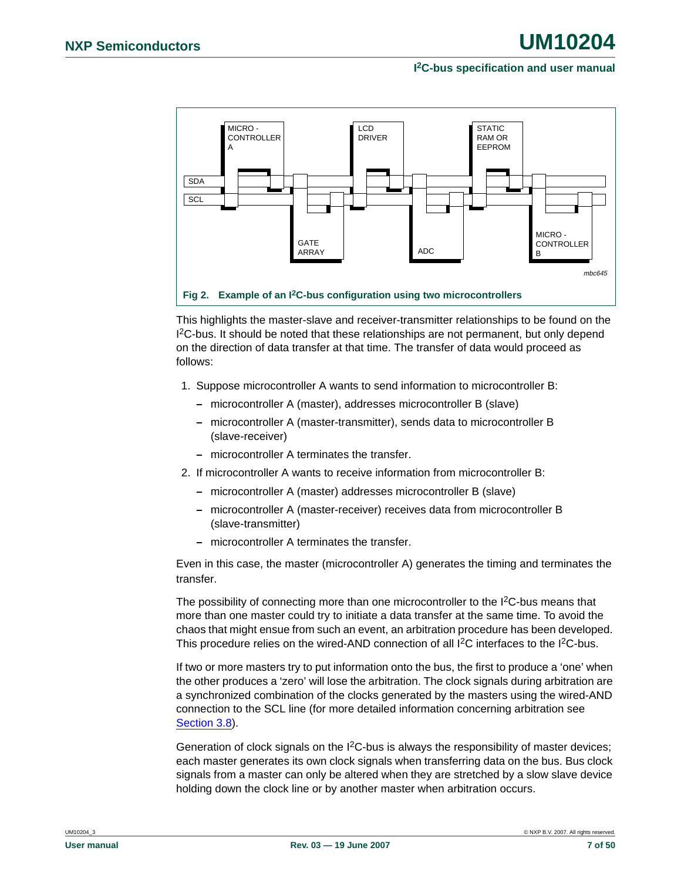

<span id="page-6-0"></span>This highlights the master-slave and receiver-transmitter relationships to be found on the <sup>12</sup>C-bus. It should be noted that these relationships are not permanent, but only depend on the direction of data transfer at that time. The transfer of data would proceed as follows:

- 1. Suppose microcontroller A wants to send information to microcontroller B:
	- **–** microcontroller A (master), addresses microcontroller B (slave)
	- **–** microcontroller A (master-transmitter), sends data to microcontroller B (slave-receiver)
	- **–** microcontroller A terminates the transfer.
- 2. If microcontroller A wants to receive information from microcontroller B:
	- **–** microcontroller A (master) addresses microcontroller B (slave)
	- **–** microcontroller A (master-receiver) receives data from microcontroller B (slave-transmitter)
	- **–** microcontroller A terminates the transfer.

Even in this case, the master (microcontroller A) generates the timing and terminates the transfer.

The possibility of connecting more than one microcontroller to the  $1<sup>2</sup>C$ -bus means that more than one master could try to initiate a data transfer at the same time. To avoid the chaos that might ensue from such an event, an arbitration procedure has been developed. This procedure relies on the wired-AND connection of all I<sup>2</sup>C interfaces to the I<sup>2</sup>C-bus.

If two or more masters try to put information onto the bus, the first to produce a 'one' when the other produces a 'zero' will lose the arbitration. The clock signals during arbitration are a synchronized combination of the clocks generated by the masters using the wired-AND connection to the SCL line (for more detailed information concerning arbitration see [Section 3.8](#page-10-0)).

Generation of clock signals on the  $1<sup>2</sup>C$ -bus is always the responsibility of master devices; each master generates its own clock signals when transferring data on the bus. Bus clock signals from a master can only be altered when they are stretched by a slow slave device holding down the clock line or by another master when arbitration occurs.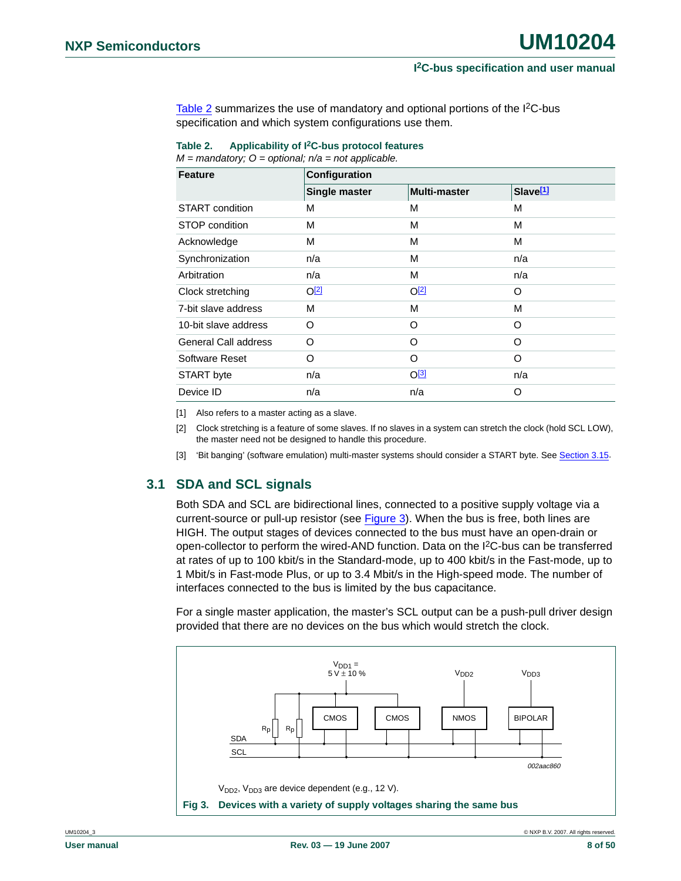[Table 2](#page-7-0) summarizes the use of mandatory and optional portions of the I<sup>2</sup>C-bus specification and which system configurations use them.

<span id="page-7-0"></span>**Table 2. Applicability of I2C-bus protocol features** *M = mandatory; O = optional; n/a = not applicable.*

| <b>Feature</b>              | Configuration    |                     |                      |  |  |  |  |  |
|-----------------------------|------------------|---------------------|----------------------|--|--|--|--|--|
|                             | Single master    | <b>Multi-master</b> | Slave <sup>[1]</sup> |  |  |  |  |  |
| START condition             | M                | M                   | M                    |  |  |  |  |  |
| STOP condition              | M                | М                   | М                    |  |  |  |  |  |
| Acknowledge                 | М                | М                   | М                    |  |  |  |  |  |
| Synchronization             | n/a              | М                   | n/a                  |  |  |  |  |  |
| Arbitration                 | n/a              | М                   | n/a                  |  |  |  |  |  |
| Clock stretching            | O <sup>[2]</sup> | O <sup>[2]</sup>    | O                    |  |  |  |  |  |
| 7-bit slave address         | M                | М                   | М                    |  |  |  |  |  |
| 10-bit slave address        | O                | O                   | O                    |  |  |  |  |  |
| <b>General Call address</b> | O                | O                   | O                    |  |  |  |  |  |
| Software Reset              | O                | O                   | O                    |  |  |  |  |  |
| START byte                  | n/a              | O <sup>[3]</sup>    | n/a                  |  |  |  |  |  |
| Device ID                   | n/a              | n/a                 | O                    |  |  |  |  |  |

<span id="page-7-1"></span>[1] Also refers to a master acting as a slave.

<span id="page-7-2"></span>[2] Clock stretching is a feature of some slaves. If no slaves in a system can stretch the clock (hold SCL LOW), the master need not be designed to handle this procedure.

<span id="page-7-3"></span>[3] 'Bit banging' (software emulation) multi-master systems should consider a START byte. See [Section 3.15.](#page-18-0)

### <span id="page-7-5"></span>**3.1 SDA and SCL signals**

Both SDA and SCL are bidirectional lines, connected to a positive supply voltage via a current-source or pull-up resistor (see [Figure 3\)](#page-7-4). When the bus is free, both lines are HIGH. The output stages of devices connected to the bus must have an open-drain or open-collector to perform the wired-AND function. Data on the I2C-bus can be transferred at rates of up to 100 kbit/s in the Standard-mode, up to 400 kbit/s in the Fast-mode, up to 1 Mbit/s in Fast-mode Plus, or up to 3.4 Mbit/s in the High-speed mode. The number of interfaces connected to the bus is limited by the bus capacitance.

For a single master application, the master's SCL output can be a push-pull driver design provided that there are no devices on the bus which would stretch the clock.

<span id="page-7-4"></span>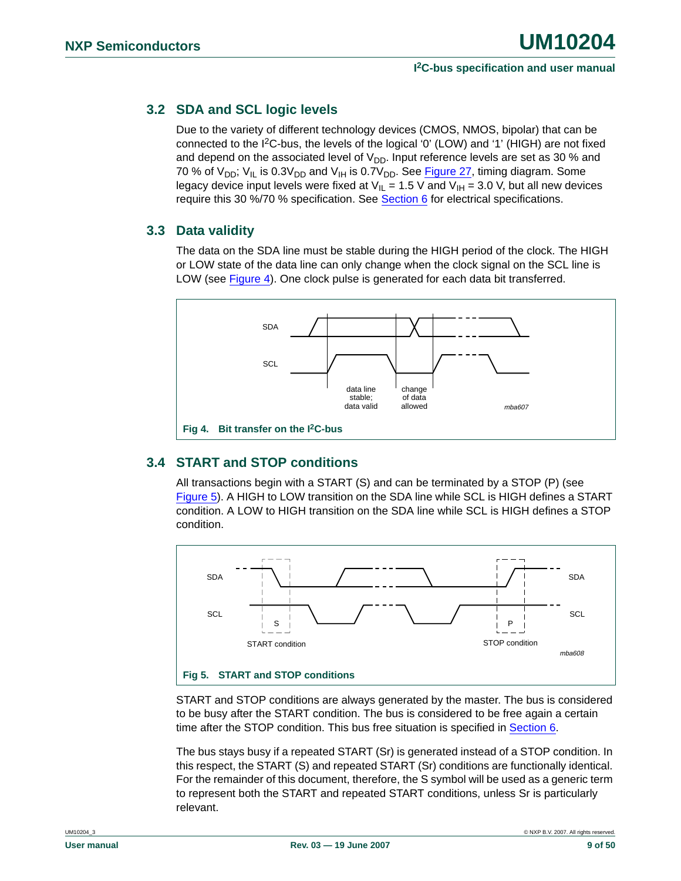### <span id="page-8-2"></span>**3.2 SDA and SCL logic levels**

Due to the variety of different technology devices (CMOS, NMOS, bipolar) that can be connected to the  $I^2C$ -bus, the levels of the logical '0' (LOW) and '1' (HIGH) are not fixed and depend on the associated level of  $V_{DD}$ . Input reference levels are set as 30 % and 70 % of  $V_{DD}$ ;  $V_{IL}$  is 0.3 $V_{DD}$  and  $V_{IH}$  is 0.7 $V_{DD}$ . See [Figure 27](#page-37-0), timing diagram. Some legacy device input levels were fixed at  $V_{IL} = 1.5$  V and  $V_{IH} = 3.0$  V, but all new devices require this 30 %/70 % specification. See **Section 6** for electrical specifications.

### <span id="page-8-3"></span>**3.3 Data validity**

The data on the SDA line must be stable during the HIGH period of the clock. The HIGH or LOW state of the data line can only change when the clock signal on the SCL line is LOW (see [Figure 4\)](#page-8-0). One clock pulse is generated for each data bit transferred.



### <span id="page-8-4"></span><span id="page-8-0"></span>**3.4 START and STOP conditions**

All transactions begin with a START (S) and can be terminated by a STOP (P) (see [Figure 5](#page-8-1)). A HIGH to LOW transition on the SDA line while SCL is HIGH defines a START condition. A LOW to HIGH transition on the SDA line while SCL is HIGH defines a STOP condition.



<span id="page-8-1"></span>START and STOP conditions are always generated by the master. The bus is considered to be busy after the START condition. The bus is considered to be free again a certain time after the STOP condition. This bus free situation is specified in [Section 6.](#page-35-0)

The bus stays busy if a repeated START (Sr) is generated instead of a STOP condition. In this respect, the START (S) and repeated START (Sr) conditions are functionally identical. For the remainder of this document, therefore, the S symbol will be used as a generic term to represent both the START and repeated START conditions, unless Sr is particularly relevant.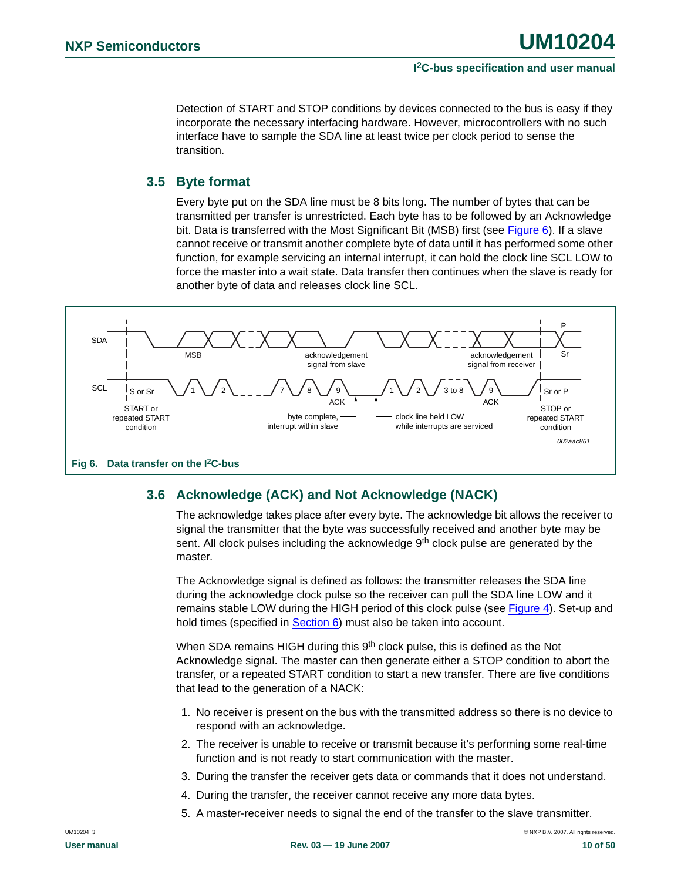Detection of START and STOP conditions by devices connected to the bus is easy if they incorporate the necessary interfacing hardware. However, microcontrollers with no such interface have to sample the SDA line at least twice per clock period to sense the transition.

### <span id="page-9-1"></span>**3.5 Byte format**

Every byte put on the SDA line must be 8 bits long. The number of bytes that can be transmitted per transfer is unrestricted. Each byte has to be followed by an Acknowledge bit. Data is transferred with the Most Significant Bit (MSB) first (see Figure  $6$ ). If a slave cannot receive or transmit another complete byte of data until it has performed some other function, for example servicing an internal interrupt, it can hold the clock line SCL LOW to force the master into a wait state. Data transfer then continues when the slave is ready for another byte of data and releases clock line SCL.



### <span id="page-9-2"></span><span id="page-9-0"></span>**3.6 Acknowledge (ACK) and Not Acknowledge (NACK)**

The acknowledge takes place after every byte. The acknowledge bit allows the receiver to signal the transmitter that the byte was successfully received and another byte may be sent. All clock pulses including the acknowledge  $9<sup>th</sup>$  clock pulse are generated by the master.

The Acknowledge signal is defined as follows: the transmitter releases the SDA line during the acknowledge clock pulse so the receiver can pull the SDA line LOW and it remains stable LOW during the HIGH period of this clock pulse (see [Figure 4\)](#page-8-0). Set-up and hold times (specified in [Section 6\)](#page-35-0) must also be taken into account.

When SDA remains HIGH during this 9<sup>th</sup> clock pulse, this is defined as the Not Acknowledge signal. The master can then generate either a STOP condition to abort the transfer, or a repeated START condition to start a new transfer. There are five conditions that lead to the generation of a NACK:

- 1. No receiver is present on the bus with the transmitted address so there is no device to respond with an acknowledge.
- 2. The receiver is unable to receive or transmit because it's performing some real-time function and is not ready to start communication with the master.
- 3. During the transfer the receiver gets data or commands that it does not understand.
- 4. During the transfer, the receiver cannot receive any more data bytes.
- 5. A master-receiver needs to signal the end of the transfer to the slave transmitter.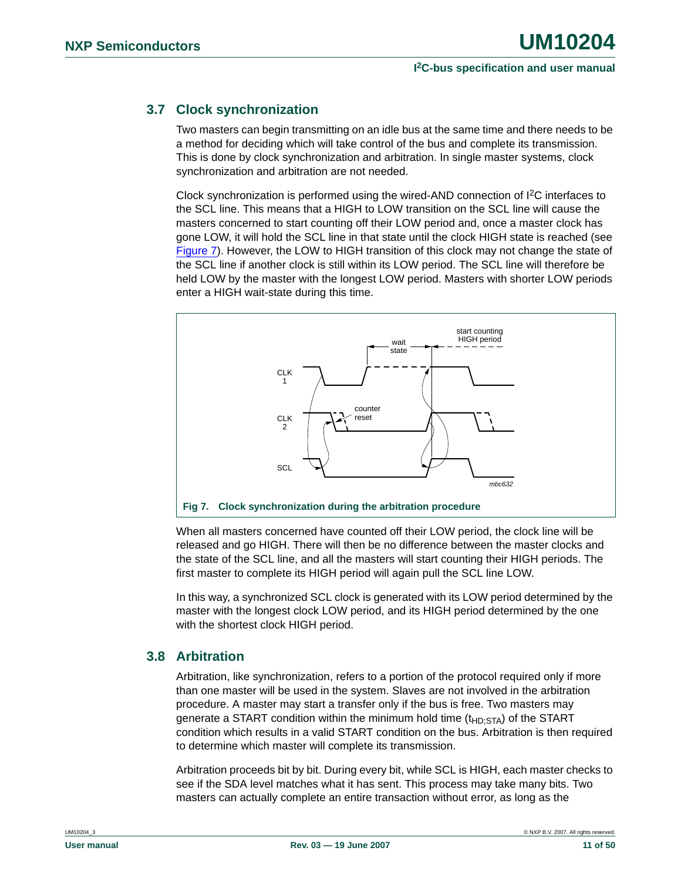### <span id="page-10-2"></span>**3.7 Clock synchronization**

Two masters can begin transmitting on an idle bus at the same time and there needs to be a method for deciding which will take control of the bus and complete its transmission. This is done by clock synchronization and arbitration. In single master systems, clock synchronization and arbitration are not needed.

Clock synchronization is performed using the wired-AND connection of  $l^2C$  interfaces to the SCL line. This means that a HIGH to LOW transition on the SCL line will cause the masters concerned to start counting off their LOW period and, once a master clock has gone LOW, it will hold the SCL line in that state until the clock HIGH state is reached (see [Figure 7](#page-10-1)). However, the LOW to HIGH transition of this clock may not change the state of the SCL line if another clock is still within its LOW period. The SCL line will therefore be held LOW by the master with the longest LOW period. Masters with shorter LOW periods enter a HIGH wait-state during this time.



<span id="page-10-1"></span>When all masters concerned have counted off their LOW period, the clock line will be released and go HIGH. There will then be no difference between the master clocks and the state of the SCL line, and all the masters will start counting their HIGH periods. The first master to complete its HIGH period will again pull the SCL line LOW.

In this way, a synchronized SCL clock is generated with its LOW period determined by the master with the longest clock LOW period, and its HIGH period determined by the one with the shortest clock HIGH period.

### <span id="page-10-0"></span>**3.8 Arbitration**

Arbitration, like synchronization, refers to a portion of the protocol required only if more than one master will be used in the system. Slaves are not involved in the arbitration procedure. A master may start a transfer only if the bus is free. Two masters may generate a START condition within the minimum hold time  $(t_{HD}STA)$  of the START condition which results in a valid START condition on the bus. Arbitration is then required to determine which master will complete its transmission.

Arbitration proceeds bit by bit. During every bit, while SCL is HIGH, each master checks to see if the SDA level matches what it has sent. This process may take many bits. Two masters can actually complete an entire transaction without error, as long as the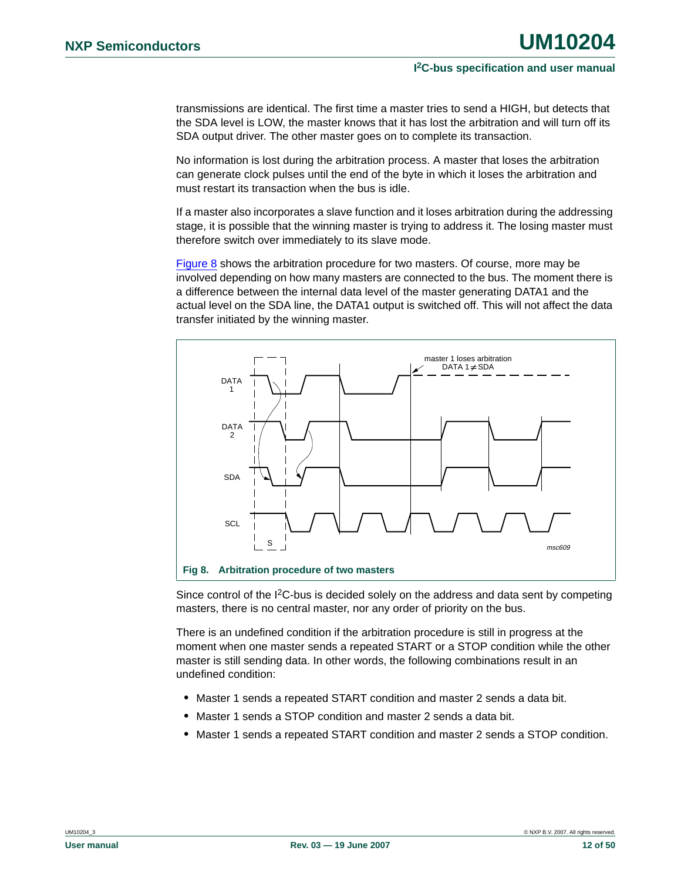transmissions are identical. The first time a master tries to send a HIGH, but detects that the SDA level is LOW, the master knows that it has lost the arbitration and will turn off its SDA output driver. The other master goes on to complete its transaction.

No information is lost during the arbitration process. A master that loses the arbitration can generate clock pulses until the end of the byte in which it loses the arbitration and must restart its transaction when the bus is idle.

If a master also incorporates a slave function and it loses arbitration during the addressing stage, it is possible that the winning master is trying to address it. The losing master must therefore switch over immediately to its slave mode.

[Figure 8](#page-11-0) shows the arbitration procedure for two masters. Of course, more may be involved depending on how many masters are connected to the bus. The moment there is a difference between the internal data level of the master generating DATA1 and the actual level on the SDA line, the DATA1 output is switched off. This will not affect the data transfer initiated by the winning master.



<span id="page-11-0"></span>Since control of the  $I^2C$ -bus is decided solely on the address and data sent by competing masters, there is no central master, nor any order of priority on the bus.

There is an undefined condition if the arbitration procedure is still in progress at the moment when one master sends a repeated START or a STOP condition while the other master is still sending data. In other words, the following combinations result in an undefined condition:

- **•** Master 1 sends a repeated START condition and master 2 sends a data bit.
- **•** Master 1 sends a STOP condition and master 2 sends a data bit.
- **•** Master 1 sends a repeated START condition and master 2 sends a STOP condition.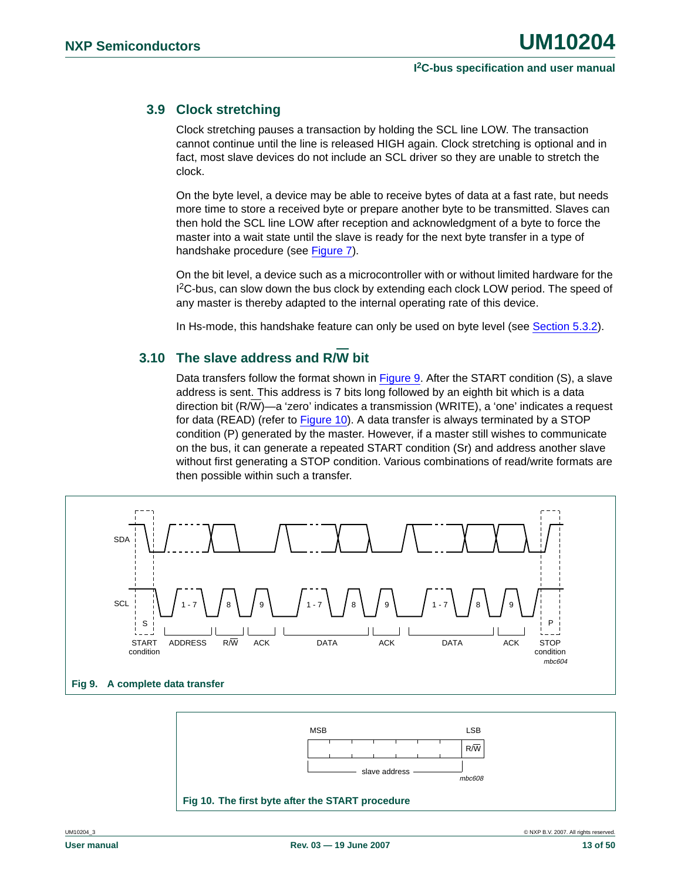### <span id="page-12-2"></span>**3.9 Clock stretching**

Clock stretching pauses a transaction by holding the SCL line LOW. The transaction cannot continue until the line is released HIGH again. Clock stretching is optional and in fact, most slave devices do not include an SCL driver so they are unable to stretch the clock.

On the byte level, a device may be able to receive bytes of data at a fast rate, but needs more time to store a received byte or prepare another byte to be transmitted. Slaves can then hold the SCL line LOW after reception and acknowledgment of a byte to force the master into a wait state until the slave is ready for the next byte transfer in a type of handshake procedure (see [Figure 7\)](#page-10-1).

On the bit level, a device such as a microcontroller with or without limited hardware for the 1<sup>2</sup>C-bus, can slow down the bus clock by extending each clock LOW period. The speed of any master is thereby adapted to the internal operating rate of this device.

In Hs-mode, this handshake feature can only be used on byte level (see [Section 5.3.2](#page-27-0)).

### <span id="page-12-3"></span>**3.10 The slave address and R/W bit**

Data transfers follow the format shown in [Figure 9.](#page-12-0) After the START condition (S), a slave address is sent. This address is 7 bits long followed by an eighth bit which is a data direction bit (R/W)—a 'zero' indicates a transmission (WRITE), a 'one' indicates a request for data (READ) (refer to [Figure 10](#page-12-1)). A data transfer is always terminated by a STOP condition (P) generated by the master. However, if a master still wishes to communicate on the bus, it can generate a repeated START condition (Sr) and address another slave without first generating a STOP condition. Various combinations of read/write formats are then possible within such a transfer.



<span id="page-12-1"></span><span id="page-12-0"></span>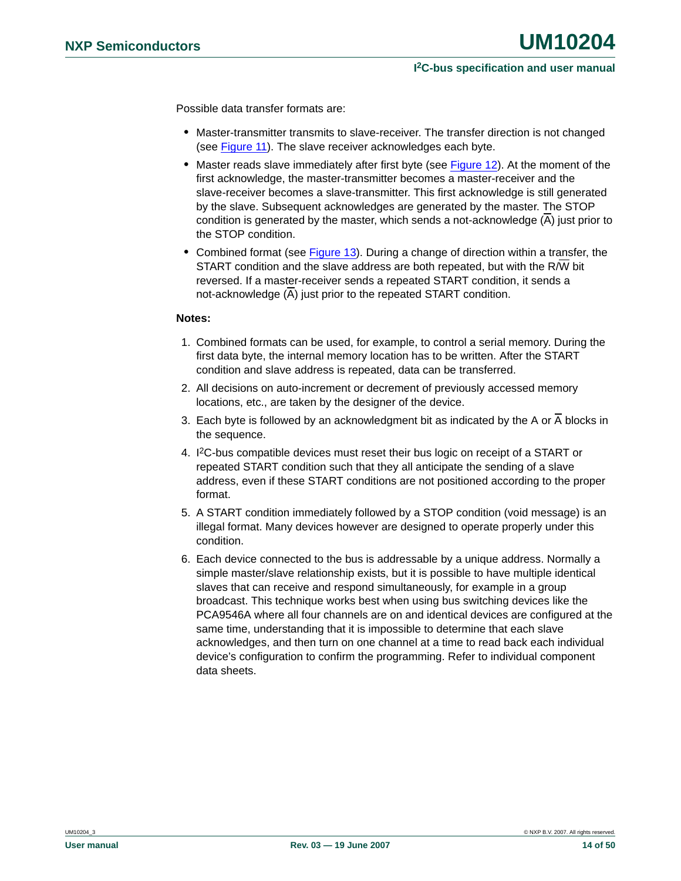Possible data transfer formats are:

- **•** Master-transmitter transmits to slave-receiver. The transfer direction is not changed (see [Figure 11](#page-14-0)). The slave receiver acknowledges each byte.
- **•** Master reads slave immediately after first byte (see [Figure 12](#page-14-1)). At the moment of the first acknowledge, the master-transmitter becomes a master-receiver and the slave-receiver becomes a slave-transmitter. This first acknowledge is still generated by the slave. Subsequent acknowledges are generated by the master. The STOP condition is generated by the master, which sends a not-acknowledge (A) just prior to the STOP condition.
- **•** Combined format (see [Figure 13](#page-14-2)). During a change of direction within a transfer, the START condition and the slave address are both repeated, but with the R/W bit reversed. If a master-receiver sends a repeated START condition, it sends a not-acknowledge (A) just prior to the repeated START condition.

#### **Notes:**

- 1. Combined formats can be used, for example, to control a serial memory. During the first data byte, the internal memory location has to be written. After the START condition and slave address is repeated, data can be transferred.
- 2. All decisions on auto-increment or decrement of previously accessed memory locations, etc., are taken by the designer of the device.
- 3. Each byte is followed by an acknowledgment bit as indicated by the A or A blocks in the sequence.
- 4. I2C-bus compatible devices must reset their bus logic on receipt of a START or repeated START condition such that they all anticipate the sending of a slave address, even if these START conditions are not positioned according to the proper format.
- 5. A START condition immediately followed by a STOP condition (void message) is an illegal format. Many devices however are designed to operate properly under this condition.
- 6. Each device connected to the bus is addressable by a unique address. Normally a simple master/slave relationship exists, but it is possible to have multiple identical slaves that can receive and respond simultaneously, for example in a group broadcast. This technique works best when using bus switching devices like the PCA9546A where all four channels are on and identical devices are configured at the same time, understanding that it is impossible to determine that each slave acknowledges, and then turn on one channel at a time to read back each individual device's configuration to confirm the programming. Refer to individual component data sheets.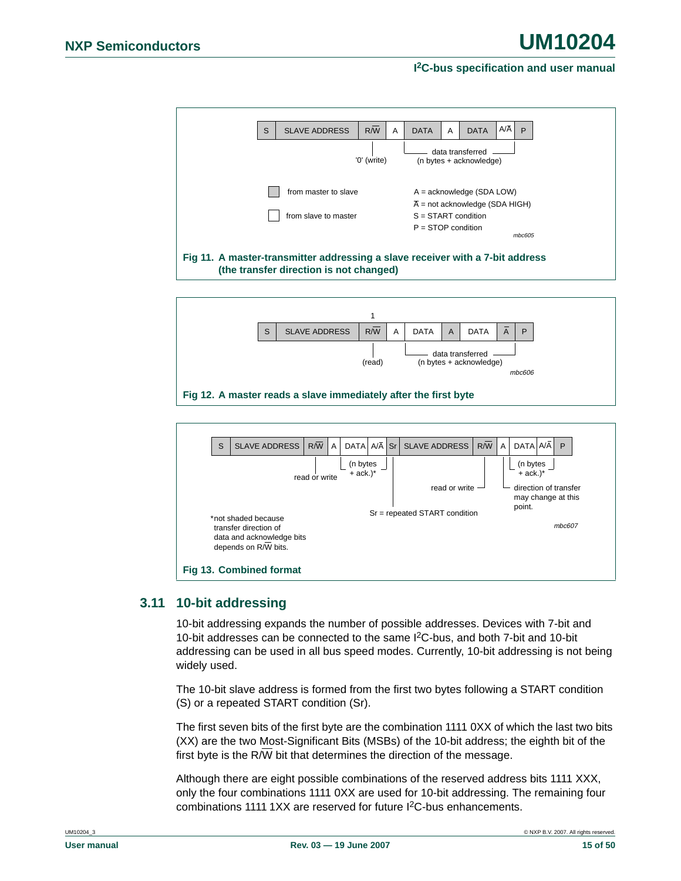

<span id="page-14-0"></span>

<span id="page-14-1"></span>

### <span id="page-14-3"></span><span id="page-14-2"></span>**3.11 10-bit addressing**

10-bit addressing expands the number of possible addresses. Devices with 7-bit and 10-bit addresses can be connected to the same  $1<sup>2</sup>C$ -bus, and both 7-bit and 10-bit addressing can be used in all bus speed modes. Currently, 10-bit addressing is not being widely used.

The 10-bit slave address is formed from the first two bytes following a START condition (S) or a repeated START condition (Sr).

The first seven bits of the first byte are the combination 1111 0XX of which the last two bits (XX) are the two Most-Significant Bits (MSBs) of the 10-bit address; the eighth bit of the first byte is the R/W bit that determines the direction of the message.

Although there are eight possible combinations of the reserved address bits 1111 XXX, only the four combinations 1111 0XX are used for 10-bit addressing. The remaining four combinations 1111 1XX are reserved for future I<sup>2</sup>C-bus enhancements.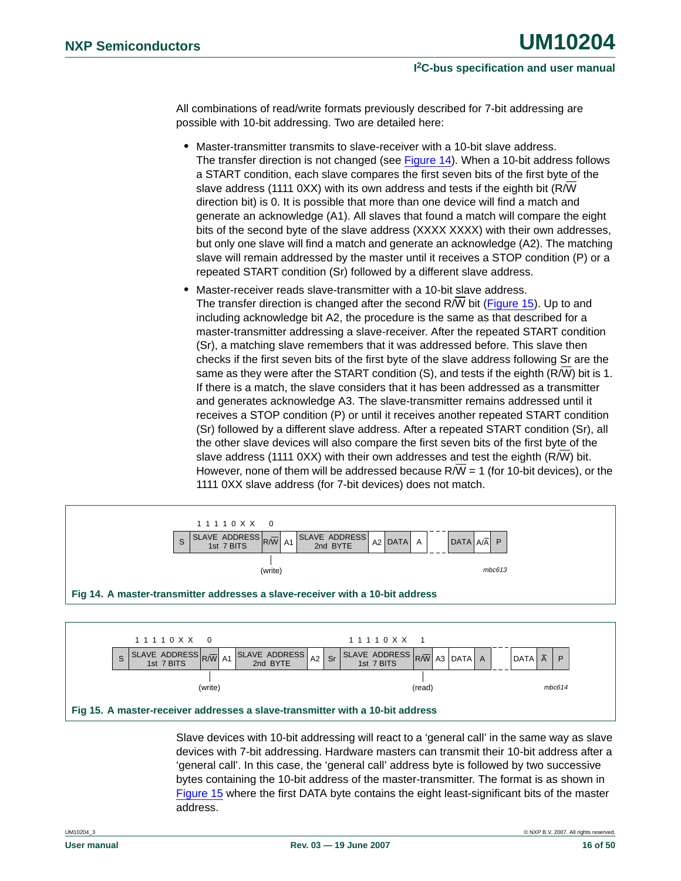All combinations of read/write formats previously described for 7-bit addressing are possible with 10-bit addressing. Two are detailed here:

- **•** Master-transmitter transmits to slave-receiver with a 10-bit slave address. The transfer direction is not changed (see [Figure 14\)](#page-15-0). When a 10-bit address follows a START condition, each slave compares the first seven bits of the first byte of the slave address (1111 0XX) with its own address and tests if the eighth bit (R/W direction bit) is 0. It is possible that more than one device will find a match and generate an acknowledge (A1). All slaves that found a match will compare the eight bits of the second byte of the slave address (XXXX XXXX) with their own addresses, but only one slave will find a match and generate an acknowledge (A2). The matching slave will remain addressed by the master until it receives a STOP condition (P) or a repeated START condition (Sr) followed by a different slave address.
- **•** Master-receiver reads slave-transmitter with a 10-bit slave address. The transfer direction is changed after the second R/W bit [\(Figure 15](#page-15-1)). Up to and including acknowledge bit A2, the procedure is the same as that described for a master-transmitter addressing a slave-receiver. After the repeated START condition (Sr), a matching slave remembers that it was addressed before. This slave then checks if the first seven bits of the first byte of the slave address following Sr are the same as they were after the START condition (S), and tests if the eighth (R/W) bit is 1. If there is a match, the slave considers that it has been addressed as a transmitter and generates acknowledge A3. The slave-transmitter remains addressed until it receives a STOP condition (P) or until it receives another repeated START condition (Sr) followed by a different slave address. After a repeated START condition (Sr), all the other slave devices will also compare the first seven bits of the first byte of the slave address (1111 0XX) with their own addresses and test the eighth (R/W) bit. However, none of them will be addressed because  $R/W = 1$  (for 10-bit devices), or the 1111 0XX slave address (for 7-bit devices) does not match.



<span id="page-15-1"></span><span id="page-15-0"></span>

Slave devices with 10-bit addressing will react to a 'general call' in the same way as slave devices with 7-bit addressing. Hardware masters can transmit their 10-bit address after a 'general call'. In this case, the 'general call' address byte is followed by two successive bytes containing the 10-bit address of the master-transmitter. The format is as shown in [Figure 15](#page-15-1) where the first DATA byte contains the eight least-significant bits of the master address.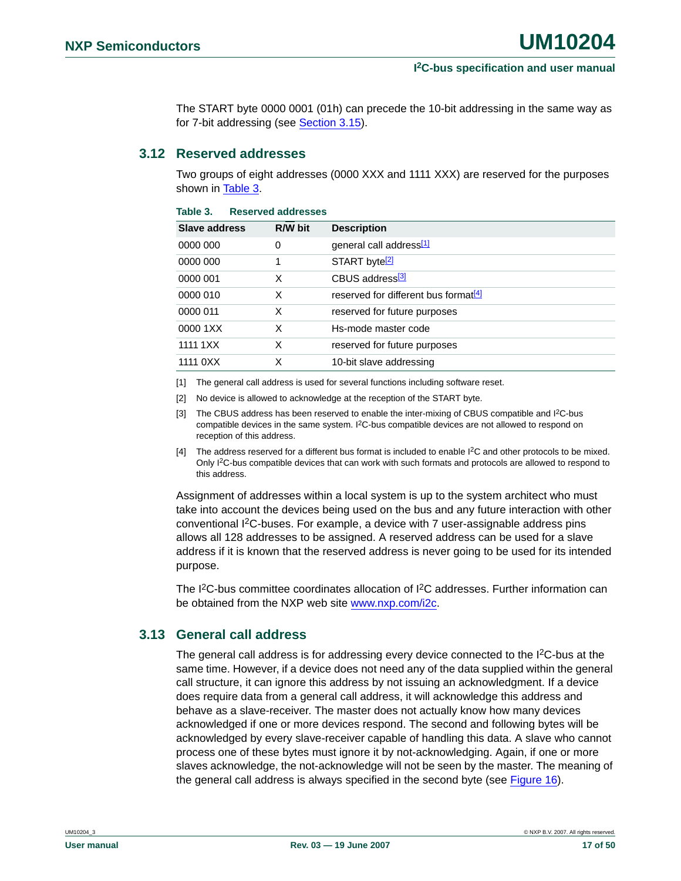The START byte 0000 0001 (01h) can precede the 10-bit addressing in the same way as for 7-bit addressing (see [Section 3.15\)](#page-18-0).

#### <span id="page-16-5"></span>**3.12 Reserved addresses**

Two groups of eight addresses (0000 XXX and 1111 XXX) are reserved for the purposes shown in [Table 3.](#page-16-0)

| <b>Slave address</b> | R/W bit | <b>Description</b>                               |
|----------------------|---------|--------------------------------------------------|
| 0000 000             | 0       | general call address <sup>[1]</sup>              |
| 0000 000             |         | START byte <sup>[2]</sup>                        |
| 0000 001             | X       | CBUS address <sup>3</sup>                        |
| 0000 010             | X       | reserved for different bus format <sup>[4]</sup> |
| 0000 011             | X       | reserved for future purposes                     |
| 0000 1XX             | X       | Hs-mode master code                              |
| 1111 1 X X           | X       | reserved for future purposes                     |
| 1111 0XX             | X       | 10-bit slave addressing                          |
|                      |         |                                                  |

#### <span id="page-16-0"></span>**Table 3. Reserved addresses**

<span id="page-16-1"></span>[1] The general call address is used for several functions including software reset.

- <span id="page-16-2"></span>[2] No device is allowed to acknowledge at the reception of the START byte.
- <span id="page-16-3"></span>[3] The CBUS address has been reserved to enable the inter-mixing of CBUS compatible and  $1<sup>2</sup>C$ -bus compatible devices in the same system. I<sup>2</sup>C-bus compatible devices are not allowed to respond on reception of this address.
- <span id="page-16-4"></span>[4] The address reserved for a different bus format is included to enable I2C and other protocols to be mixed. Only I2C-bus compatible devices that can work with such formats and protocols are allowed to respond to this address.

Assignment of addresses within a local system is up to the system architect who must take into account the devices being used on the bus and any future interaction with other conventional I2C-buses. For example, a device with 7 user-assignable address pins allows all 128 addresses to be assigned. A reserved address can be used for a slave address if it is known that the reserved address is never going to be used for its intended purpose.

The I<sup>2</sup>C-bus committee coordinates allocation of I<sup>2</sup>C addresses. Further information can be obtained from the NXP web site [www.nxp.com/i2c.](http://www.nxp.com/i2c)

### <span id="page-16-6"></span>**3.13 General call address**

The general call address is for addressing every device connected to the  $1<sup>2</sup>C$ -bus at the same time. However, if a device does not need any of the data supplied within the general call structure, it can ignore this address by not issuing an acknowledgment. If a device does require data from a general call address, it will acknowledge this address and behave as a slave-receiver. The master does not actually know how many devices acknowledged if one or more devices respond. The second and following bytes will be acknowledged by every slave-receiver capable of handling this data. A slave who cannot process one of these bytes must ignore it by not-acknowledging. Again, if one or more slaves acknowledge, the not-acknowledge will not be seen by the master. The meaning of the general call address is always specified in the second byte (see [Figure 16](#page-17-0)).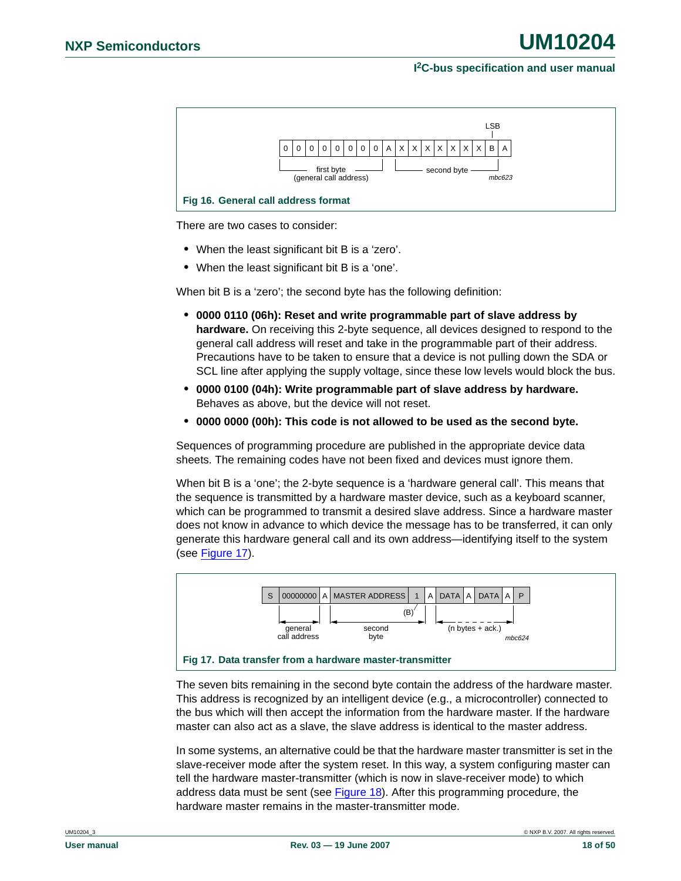

<span id="page-17-0"></span>There are two cases to consider:

- **•** When the least significant bit B is a 'zero'.
- **•** When the least significant bit B is a 'one'.

When bit B is a 'zero'; the second byte has the following definition:

- **• 0000 0110 (06h): Reset and write programmable part of slave address by hardware.** On receiving this 2-byte sequence, all devices designed to respond to the general call address will reset and take in the programmable part of their address. Precautions have to be taken to ensure that a device is not pulling down the SDA or SCL line after applying the supply voltage, since these low levels would block the bus.
- **• 0000 0100 (04h): Write programmable part of slave address by hardware.** Behaves as above, but the device will not reset.
- **• 0000 0000 (00h): This code is not allowed to be used as the second byte.**

Sequences of programming procedure are published in the appropriate device data sheets. The remaining codes have not been fixed and devices must ignore them.

When bit B is a 'one'; the 2-byte sequence is a 'hardware general call'. This means that the sequence is transmitted by a hardware master device, such as a keyboard scanner, which can be programmed to transmit a desired slave address. Since a hardware master does not know in advance to which device the message has to be transferred, it can only generate this hardware general call and its own address—identifying itself to the system (see [Figure 17\)](#page-17-1).



<span id="page-17-1"></span>The seven bits remaining in the second byte contain the address of the hardware master. This address is recognized by an intelligent device (e.g., a microcontroller) connected to the bus which will then accept the information from the hardware master. If the hardware master can also act as a slave, the slave address is identical to the master address.

In some systems, an alternative could be that the hardware master transmitter is set in the slave-receiver mode after the system reset. In this way, a system configuring master can tell the hardware master-transmitter (which is now in slave-receiver mode) to which address data must be sent (see [Figure 18](#page-18-1)). After this programming procedure, the hardware master remains in the master-transmitter mode.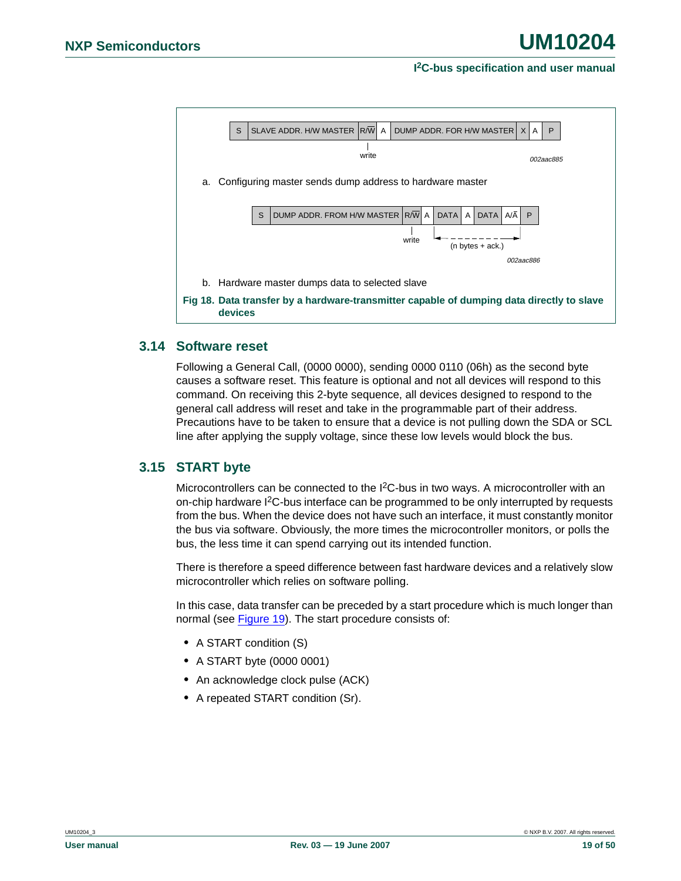

#### <span id="page-18-2"></span><span id="page-18-1"></span>**3.14 Software reset**

Following a General Call, (0000 0000), sending 0000 0110 (06h) as the second byte causes a software reset. This feature is optional and not all devices will respond to this command. On receiving this 2-byte sequence, all devices designed to respond to the general call address will reset and take in the programmable part of their address. Precautions have to be taken to ensure that a device is not pulling down the SDA or SCL line after applying the supply voltage, since these low levels would block the bus.

### <span id="page-18-0"></span>**3.15 START byte**

Microcontrollers can be connected to the I<sup>2</sup>C-bus in two ways. A microcontroller with an on-chip hardware  $1<sup>2</sup>C$ -bus interface can be programmed to be only interrupted by requests from the bus. When the device does not have such an interface, it must constantly monitor the bus via software. Obviously, the more times the microcontroller monitors, or polls the bus, the less time it can spend carrying out its intended function.

There is therefore a speed difference between fast hardware devices and a relatively slow microcontroller which relies on software polling.

In this case, data transfer can be preceded by a start procedure which is much longer than normal (see [Figure 19](#page-19-0)). The start procedure consists of:

- **•** A START condition (S)
- **•** A START byte (0000 0001)
- **•** An acknowledge clock pulse (ACK)
- **•** A repeated START condition (Sr).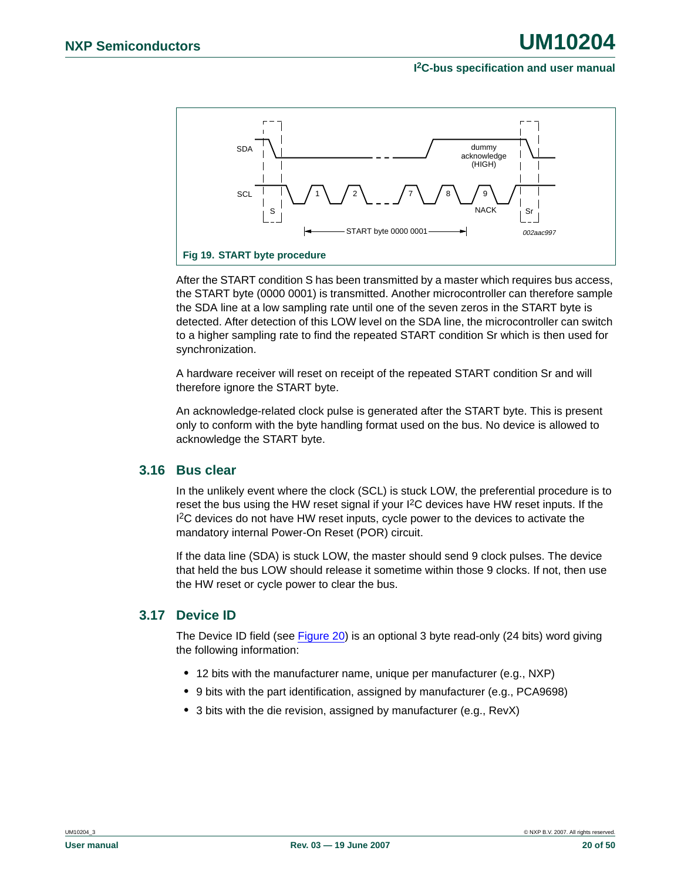

<span id="page-19-0"></span>After the START condition S has been transmitted by a master which requires bus access, the START byte (0000 0001) is transmitted. Another microcontroller can therefore sample the SDA line at a low sampling rate until one of the seven zeros in the START byte is detected. After detection of this LOW level on the SDA line, the microcontroller can switch to a higher sampling rate to find the repeated START condition Sr which is then used for synchronization.

A hardware receiver will reset on receipt of the repeated START condition Sr and will therefore ignore the START byte.

An acknowledge-related clock pulse is generated after the START byte. This is present only to conform with the byte handling format used on the bus. No device is allowed to acknowledge the START byte.

#### <span id="page-19-1"></span>**3.16 Bus clear**

In the unlikely event where the clock (SCL) is stuck LOW, the preferential procedure is to reset the bus using the HW reset signal if your I2C devices have HW reset inputs. If the <sup>12</sup>C devices do not have HW reset inputs, cycle power to the devices to activate the mandatory internal Power-On Reset (POR) circuit.

If the data line (SDA) is stuck LOW, the master should send 9 clock pulses. The device that held the bus LOW should release it sometime within those 9 clocks. If not, then use the HW reset or cycle power to clear the bus.

#### <span id="page-19-2"></span>**3.17 Device ID**

The Device ID field (see [Figure 20](#page-20-0)) is an optional 3 byte read-only (24 bits) word giving the following information:

- **•** 12 bits with the manufacturer name, unique per manufacturer (e.g., NXP)
- **•** 9 bits with the part identification, assigned by manufacturer (e.g., PCA9698)
- **•** 3 bits with the die revision, assigned by manufacturer (e.g., RevX)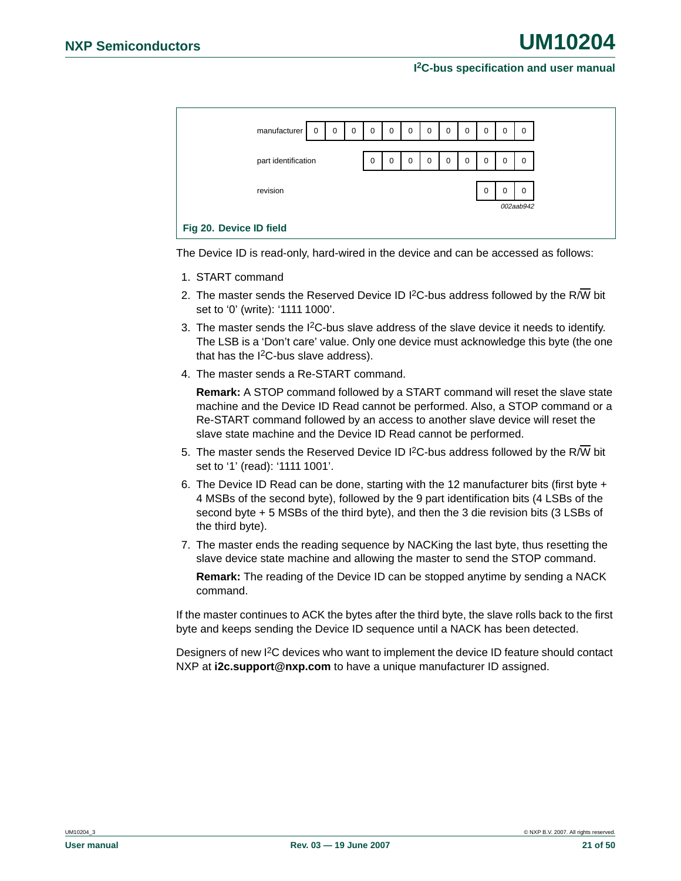|                         | manufacturer        | $\mathbf 0$ | $\mathbf 0$ | $\mathbf 0$ | $\mathbf 0$ | $\mathbf 0$ | $\mathbf 0$ | $\mathbf 0$ | $\mathbf 0$ | $\mathbf 0$ | $\mathbf 0$ | 0                     | $\mathbf 0$ |
|-------------------------|---------------------|-------------|-------------|-------------|-------------|-------------|-------------|-------------|-------------|-------------|-------------|-----------------------|-------------|
|                         |                     |             |             |             |             |             |             |             |             |             |             |                       |             |
|                         | part identification |             |             |             | $\mathbf 0$ | $\mathbf 0$ | $\mathbf 0$ | $\mathbf 0$ | $\mathbf 0$ | $\mathbf 0$ | $\mathbf 0$ | $\Omega$              | $\mathbf 0$ |
| revision                |                     |             |             |             |             |             |             |             |             | $\mathbf 0$ | $\Omega$    | $\Omega$<br>002aab942 |             |
| Fig 20. Device ID field |                     |             |             |             |             |             |             |             |             |             |             |                       |             |

<span id="page-20-0"></span>The Device ID is read-only, hard-wired in the device and can be accessed as follows:

- 1. START command
- 2. The master sends the Reserved Device ID I<sup>2</sup>C-bus address followed by the R/W bit set to '0' (write): '1111 1000'.
- 3. The master sends the  $1^2C$ -bus slave address of the slave device it needs to identify. The LSB is a 'Don't care' value. Only one device must acknowledge this byte (the one that has the  $I^2C$ -bus slave address).
- 4. The master sends a Re-START command.

**Remark:** A STOP command followed by a START command will reset the slave state machine and the Device ID Read cannot be performed. Also, a STOP command or a Re-START command followed by an access to another slave device will reset the slave state machine and the Device ID Read cannot be performed.

- 5. The master sends the Reserved Device ID I<sup>2</sup>C-bus address followed by the R/W bit set to '1' (read): '1111 1001'.
- 6. The Device ID Read can be done, starting with the 12 manufacturer bits (first byte + 4 MSBs of the second byte), followed by the 9 part identification bits (4 LSBs of the second byte + 5 MSBs of the third byte), and then the 3 die revision bits (3 LSBs of the third byte).
- 7. The master ends the reading sequence by NACKing the last byte, thus resetting the slave device state machine and allowing the master to send the STOP command.

**Remark:** The reading of the Device ID can be stopped anytime by sending a NACK command.

If the master continues to ACK the bytes after the third byte, the slave rolls back to the first byte and keeps sending the Device ID sequence until a NACK has been detected.

Designers of new I<sup>2</sup>C devices who want to implement the device ID feature should contact NXP at **i2c.support@nxp.com** to have a unique manufacturer ID assigned.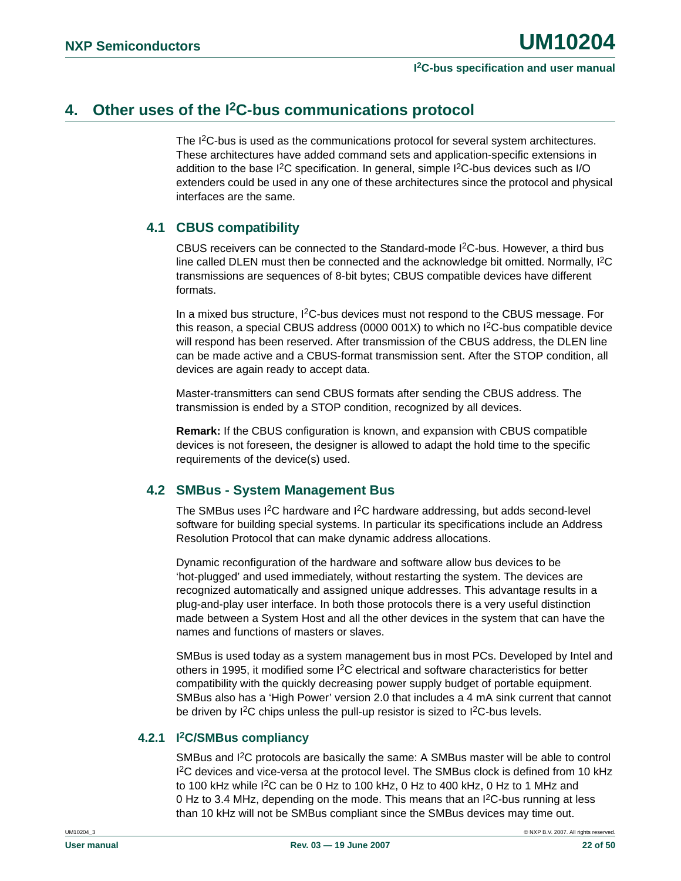### <span id="page-21-1"></span>**4. Other uses of the I2C-bus communications protocol**

The I<sup>2</sup>C-bus is used as the communications protocol for several system architectures. These architectures have added command sets and application-specific extensions in addition to the base I<sup>2</sup>C specification. In general, simple I<sup>2</sup>C-bus devices such as I/O extenders could be used in any one of these architectures since the protocol and physical interfaces are the same.

### <span id="page-21-0"></span>**4.1 CBUS compatibility**

CBUS receivers can be connected to the Standard-mode I2C-bus. However, a third bus line called DLEN must then be connected and the acknowledge bit omitted. Normally, I2C transmissions are sequences of 8-bit bytes; CBUS compatible devices have different formats.

In a mixed bus structure,  $I^2C$ -bus devices must not respond to the CBUS message. For this reason, a special CBUS address (0000 001X) to which no I2C-bus compatible device will respond has been reserved. After transmission of the CBUS address, the DLEN line can be made active and a CBUS-format transmission sent. After the STOP condition, all devices are again ready to accept data.

Master-transmitters can send CBUS formats after sending the CBUS address. The transmission is ended by a STOP condition, recognized by all devices.

**Remark:** If the CBUS configuration is known, and expansion with CBUS compatible devices is not foreseen, the designer is allowed to adapt the hold time to the specific requirements of the device(s) used.

### <span id="page-21-2"></span>**4.2 SMBus - System Management Bus**

The SMBus uses I<sup>2</sup>C hardware and I<sup>2</sup>C hardware addressing, but adds second-level software for building special systems. In particular its specifications include an Address Resolution Protocol that can make dynamic address allocations.

Dynamic reconfiguration of the hardware and software allow bus devices to be 'hot-plugged' and used immediately, without restarting the system. The devices are recognized automatically and assigned unique addresses. This advantage results in a plug-and-play user interface. In both those protocols there is a very useful distinction made between a System Host and all the other devices in the system that can have the names and functions of masters or slaves.

SMBus is used today as a system management bus in most PCs. Developed by Intel and others in 1995, it modified some  $1<sup>2</sup>C$  electrical and software characteristics for better compatibility with the quickly decreasing power supply budget of portable equipment. SMBus also has a 'High Power' version 2.0 that includes a 4 mA sink current that cannot be driven by I<sup>2</sup>C chips unless the pull-up resistor is sized to I<sup>2</sup>C-bus levels.

### <span id="page-21-3"></span>**4.2.1 I2C/SMBus compliancy**

SMBus and I<sup>2</sup>C protocols are basically the same: A SMBus master will be able to control I 2C devices and vice-versa at the protocol level. The SMBus clock is defined from 10 kHz to 100 kHz while  ${}^{12}$ C can be 0 Hz to 100 kHz, 0 Hz to 400 kHz, 0 Hz to 1 MHz and 0 Hz to 3.4 MHz, depending on the mode. This means that an  ${}^{12}$ C-bus running at less than 10 kHz will not be SMBus compliant since the SMBus devices may time out.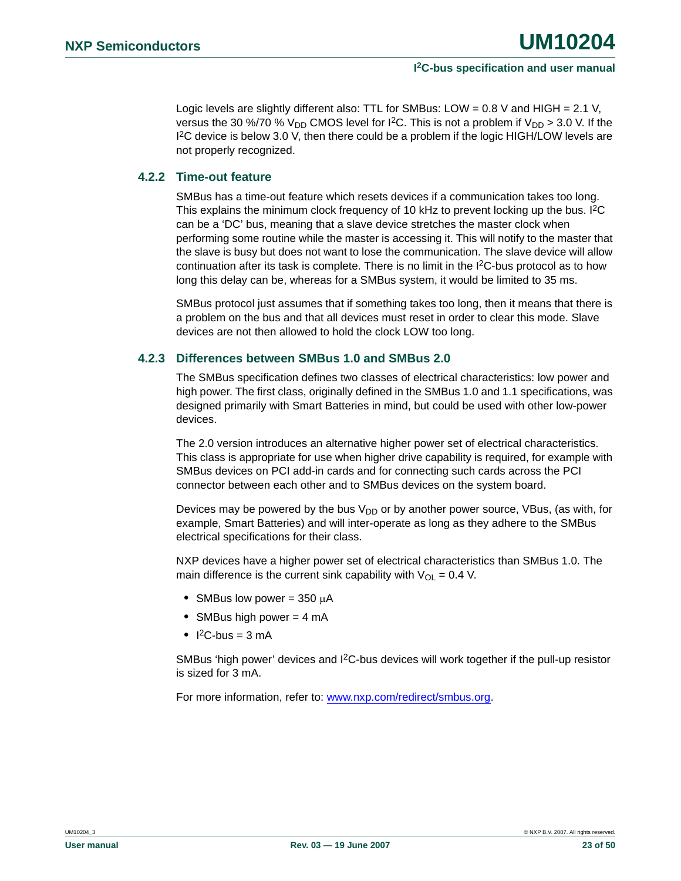Logic levels are slightly different also: TTL for SMBus: LOW =  $0.8$  V and HIGH =  $2.1$  V, versus the 30 %/70 %  $V_{DD}$  CMOS level for I<sup>2</sup>C. This is not a problem if  $V_{DD} > 3.0$  V. If the I 2C device is below 3.0 V, then there could be a problem if the logic HIGH/LOW levels are not properly recognized.

#### <span id="page-22-0"></span>**4.2.2 Time-out feature**

SMBus has a time-out feature which resets devices if a communication takes too long. This explains the minimum clock frequency of 10 kHz to prevent locking up the bus. I<sup>2</sup>C can be a 'DC' bus, meaning that a slave device stretches the master clock when performing some routine while the master is accessing it. This will notify to the master that the slave is busy but does not want to lose the communication. The slave device will allow continuation after its task is complete. There is no limit in the I<sup>2</sup>C-bus protocol as to how long this delay can be, whereas for a SMBus system, it would be limited to 35 ms.

SMBus protocol just assumes that if something takes too long, then it means that there is a problem on the bus and that all devices must reset in order to clear this mode. Slave devices are not then allowed to hold the clock LOW too long.

#### <span id="page-22-1"></span>**4.2.3 Differences between SMBus 1.0 and SMBus 2.0**

The SMBus specification defines two classes of electrical characteristics: low power and high power. The first class, originally defined in the SMBus 1.0 and 1.1 specifications, was designed primarily with Smart Batteries in mind, but could be used with other low-power devices.

The 2.0 version introduces an alternative higher power set of electrical characteristics. This class is appropriate for use when higher drive capability is required, for example with SMBus devices on PCI add-in cards and for connecting such cards across the PCI connector between each other and to SMBus devices on the system board.

Devices may be powered by the bus  $V_{DD}$  or by another power source, VBus, (as with, for example, Smart Batteries) and will inter-operate as long as they adhere to the SMBus electrical specifications for their class.

NXP devices have a higher power set of electrical characteristics than SMBus 1.0. The main difference is the current sink capability with  $V_{OL} = 0.4$  V.

- **•** SMBus low power = 350 µA
- **•** SMBus high power = 4 mA
- $\bullet$  I<sup>2</sup>C-bus = 3 mA

SMBus 'high power' devices and I<sup>2</sup>C-bus devices will work together if the pull-up resistor is sized for 3 mA.

For more information, refer to: <www.nxp.com/redirect/smbus.org>.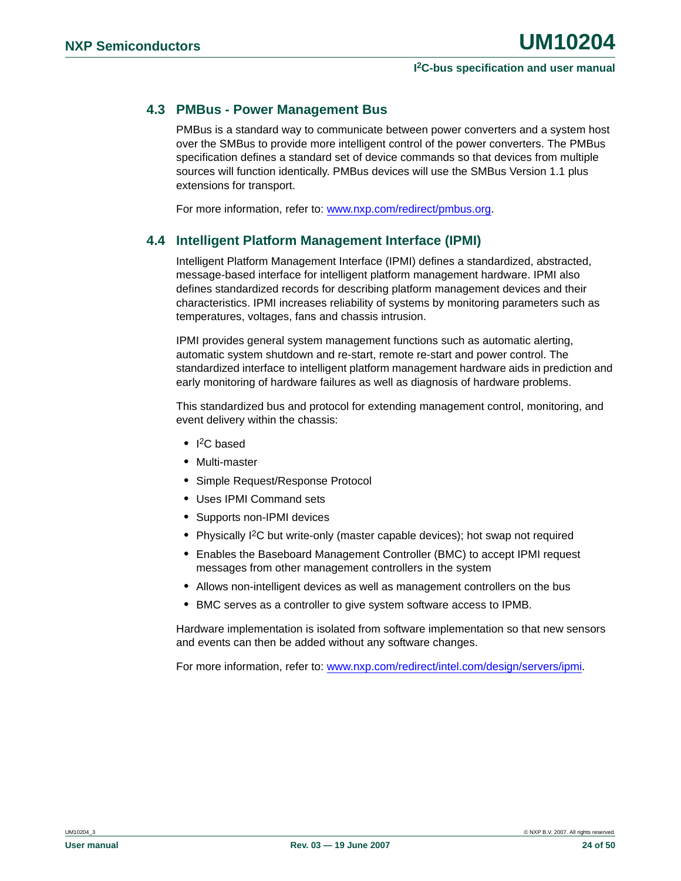### <span id="page-23-0"></span>**4.3 PMBus - Power Management Bus**

PMBus is a standard way to communicate between power converters and a system host over the SMBus to provide more intelligent control of the power converters. The PMBus specification defines a standard set of device commands so that devices from multiple sources will function identically. PMBus devices will use the SMBus Version 1.1 plus extensions for transport.

For more information, refer to: [www.nxp.com/redirect/pmbus.org.](www.nxp.com/redirect/pmbus.org)

### <span id="page-23-1"></span>**4.4 Intelligent Platform Management Interface (IPMI)**

Intelligent Platform Management Interface (IPMI) defines a standardized, abstracted, message-based interface for intelligent platform management hardware. IPMI also defines standardized records for describing platform management devices and their characteristics. IPMI increases reliability of systems by monitoring parameters such as temperatures, voltages, fans and chassis intrusion.

IPMI provides general system management functions such as automatic alerting, automatic system shutdown and re-start, remote re-start and power control. The standardized interface to intelligent platform management hardware aids in prediction and early monitoring of hardware failures as well as diagnosis of hardware problems.

This standardized bus and protocol for extending management control, monitoring, and event delivery within the chassis:

- **•** I 2C based
- **•** Multi-master
- **•** Simple Request/Response Protocol
- **•** Uses IPMI Command sets
- **•** Supports non-IPMI devices
- **•** Physically I2C but write-only (master capable devices); hot swap not required
- **•** Enables the Baseboard Management Controller (BMC) to accept IPMI request messages from other management controllers in the system
- **•** Allows non-intelligent devices as well as management controllers on the bus
- **•** BMC serves as a controller to give system software access to IPMB.

Hardware implementation is isolated from software implementation so that new sensors and events can then be added without any software changes.

For more information, refer to: <www.nxp.com/redirect/intel.com/design/servers/ipmi>.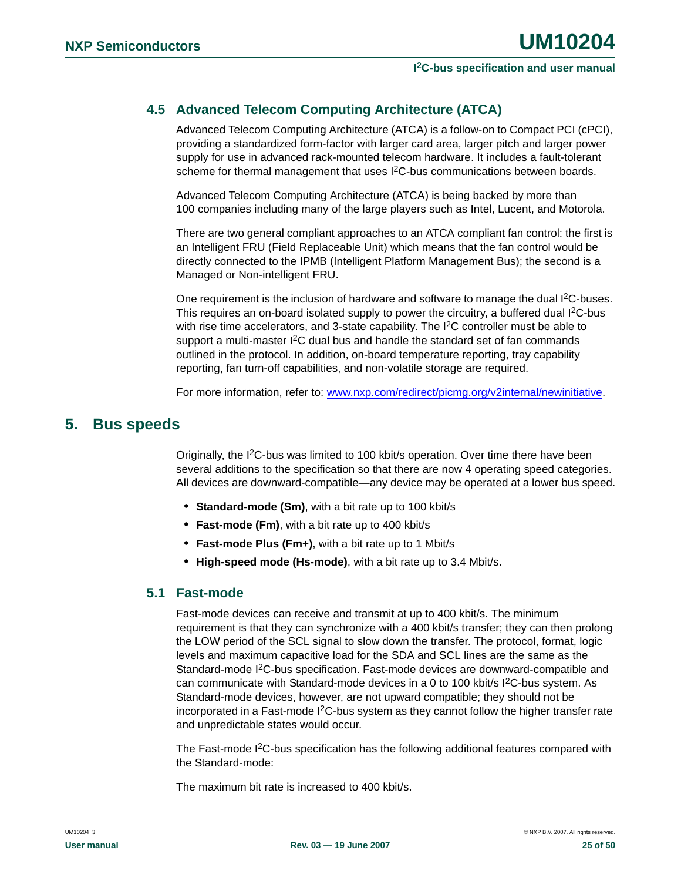### <span id="page-24-0"></span>**4.5 Advanced Telecom Computing Architecture (ATCA)**

Advanced Telecom Computing Architecture (ATCA) is a follow-on to Compact PCI (cPCI), providing a standardized form-factor with larger card area, larger pitch and larger power supply for use in advanced rack-mounted telecom hardware. It includes a fault-tolerant scheme for thermal management that uses  $1<sup>2</sup>C$ -bus communications between boards.

Advanced Telecom Computing Architecture (ATCA) is being backed by more than 100 companies including many of the large players such as Intel, Lucent, and Motorola.

There are two general compliant approaches to an ATCA compliant fan control: the first is an Intelligent FRU (Field Replaceable Unit) which means that the fan control would be directly connected to the IPMB (Intelligent Platform Management Bus); the second is a Managed or Non-intelligent FRU.

One requirement is the inclusion of hardware and software to manage the dual  $l^2C$ -buses. This requires an on-board isolated supply to power the circuitry, a buffered dual I<sup>2</sup>C-bus with rise time accelerators, and 3-state capability. The I<sup>2</sup>C controller must be able to support a multi-master  ${}^{12}C$  dual bus and handle the standard set of fan commands outlined in the protocol. In addition, on-board temperature reporting, tray capability reporting, fan turn-off capabilities, and non-volatile storage are required.

For more information, refer to: [www.nxp.com/redirect/picmg.org/v2internal/newinitiative.](www.nxp.com/redirect/picmg.org/v2internal/newinitiative)

### <span id="page-24-1"></span>**5. Bus speeds**

Originally, the I2C-bus was limited to 100 kbit/s operation. Over time there have been several additions to the specification so that there are now 4 operating speed categories. All devices are downward-compatible—any device may be operated at a lower bus speed.

- **• Standard-mode (Sm)**, with a bit rate up to 100 kbit/s
- **• Fast-mode (Fm)**, with a bit rate up to 400 kbit/s
- **• Fast-mode Plus (Fm+)**, with a bit rate up to 1 Mbit/s
- **• High-speed mode (Hs-mode)**, with a bit rate up to 3.4 Mbit/s.

### <span id="page-24-2"></span>**5.1 Fast-mode**

Fast-mode devices can receive and transmit at up to 400 kbit/s. The minimum requirement is that they can synchronize with a 400 kbit/s transfer; they can then prolong the LOW period of the SCL signal to slow down the transfer. The protocol, format, logic levels and maximum capacitive load for the SDA and SCL lines are the same as the Standard-mode I2C-bus specification. Fast-mode devices are downward-compatible and can communicate with Standard-mode devices in a 0 to 100 kbit/s I2C-bus system. As Standard-mode devices, however, are not upward compatible; they should not be incorporated in a Fast-mode  $1<sup>2</sup>C$ -bus system as they cannot follow the higher transfer rate and unpredictable states would occur.

The Fast-mode I<sup>2</sup>C-bus specification has the following additional features compared with the Standard-mode:

The maximum bit rate is increased to 400 kbit/s.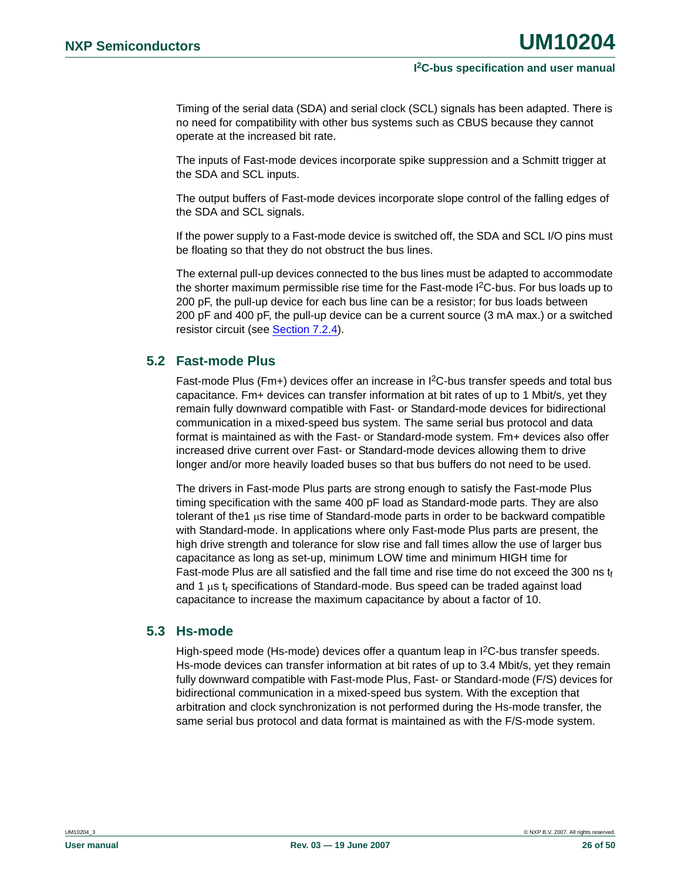Timing of the serial data (SDA) and serial clock (SCL) signals has been adapted. There is no need for compatibility with other bus systems such as CBUS because they cannot operate at the increased bit rate.

The inputs of Fast-mode devices incorporate spike suppression and a Schmitt trigger at the SDA and SCL inputs.

The output buffers of Fast-mode devices incorporate slope control of the falling edges of the SDA and SCL signals.

If the power supply to a Fast-mode device is switched off, the SDA and SCL I/O pins must be floating so that they do not obstruct the bus lines.

The external pull-up devices connected to the bus lines must be adapted to accommodate the shorter maximum permissible rise time for the Fast-mode I<sup>2</sup>C-bus. For bus loads up to 200 pF, the pull-up device for each bus line can be a resistor; for bus loads between 200 pF and 400 pF, the pull-up device can be a current source (3 mA max.) or a switched resistor circuit (see [Section 7.2.4](#page-44-0)).

### <span id="page-25-0"></span>**5.2 Fast-mode Plus**

Fast-mode Plus (Fm+) devices offer an increase in I<sup>2</sup>C-bus transfer speeds and total bus capacitance. Fm+ devices can transfer information at bit rates of up to 1 Mbit/s, yet they remain fully downward compatible with Fast- or Standard-mode devices for bidirectional communication in a mixed-speed bus system. The same serial bus protocol and data format is maintained as with the Fast- or Standard-mode system. Fm+ devices also offer increased drive current over Fast- or Standard-mode devices allowing them to drive longer and/or more heavily loaded buses so that bus buffers do not need to be used.

The drivers in Fast-mode Plus parts are strong enough to satisfy the Fast-mode Plus timing specification with the same 400 pF load as Standard-mode parts. They are also tolerant of the1 µs rise time of Standard-mode parts in order to be backward compatible with Standard-mode. In applications where only Fast-mode Plus parts are present, the high drive strength and tolerance for slow rise and fall times allow the use of larger bus capacitance as long as set-up, minimum LOW time and minimum HIGH time for Fast-mode Plus are all satisfied and the fall time and rise time do not exceed the 300 ns  $t_f$ and 1  $\mu$ s t<sub>r</sub> specifications of Standard-mode. Bus speed can be traded against load capacitance to increase the maximum capacitance by about a factor of 10.

#### <span id="page-25-1"></span>**5.3 Hs-mode**

High-speed mode (Hs-mode) devices offer a quantum leap in  ${}^{12}C$ -bus transfer speeds. Hs-mode devices can transfer information at bit rates of up to 3.4 Mbit/s, yet they remain fully downward compatible with Fast-mode Plus, Fast- or Standard-mode (F/S) devices for bidirectional communication in a mixed-speed bus system. With the exception that arbitration and clock synchronization is not performed during the Hs-mode transfer, the same serial bus protocol and data format is maintained as with the F/S-mode system.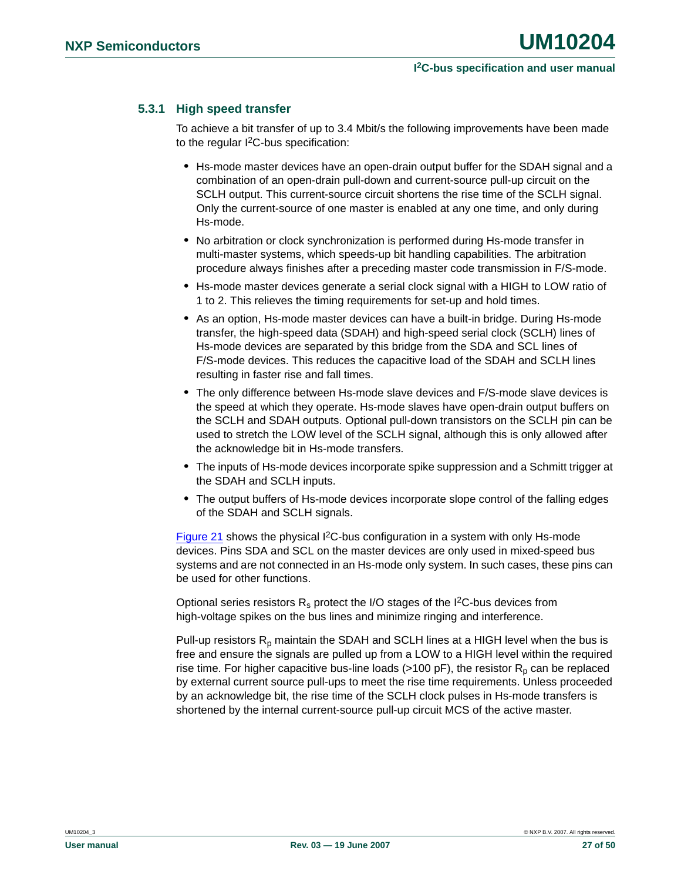### <span id="page-26-0"></span>**5.3.1 High speed transfer**

To achieve a bit transfer of up to 3.4 Mbit/s the following improvements have been made to the regular I2C-bus specification:

- **•** Hs-mode master devices have an open-drain output buffer for the SDAH signal and a combination of an open-drain pull-down and current-source pull-up circuit on the SCLH output. This current-source circuit shortens the rise time of the SCLH signal. Only the current-source of one master is enabled at any one time, and only during Hs-mode.
- **•** No arbitration or clock synchronization is performed during Hs-mode transfer in multi-master systems, which speeds-up bit handling capabilities. The arbitration procedure always finishes after a preceding master code transmission in F/S-mode.
- **•** Hs-mode master devices generate a serial clock signal with a HIGH to LOW ratio of 1 to 2. This relieves the timing requirements for set-up and hold times.
- **•** As an option, Hs-mode master devices can have a built-in bridge. During Hs-mode transfer, the high-speed data (SDAH) and high-speed serial clock (SCLH) lines of Hs-mode devices are separated by this bridge from the SDA and SCL lines of F/S-mode devices. This reduces the capacitive load of the SDAH and SCLH lines resulting in faster rise and fall times.
- **•** The only difference between Hs-mode slave devices and F/S-mode slave devices is the speed at which they operate. Hs-mode slaves have open-drain output buffers on the SCLH and SDAH outputs. Optional pull-down transistors on the SCLH pin can be used to stretch the LOW level of the SCLH signal, although this is only allowed after the acknowledge bit in Hs-mode transfers.
- **•** The inputs of Hs-mode devices incorporate spike suppression and a Schmitt trigger at the SDAH and SCLH inputs.
- **•** The output buffers of Hs-mode devices incorporate slope control of the falling edges of the SDAH and SCLH signals.

[Figure 21](#page-27-1) shows the physical I2C-bus configuration in a system with only Hs-mode devices. Pins SDA and SCL on the master devices are only used in mixed-speed bus systems and are not connected in an Hs-mode only system. In such cases, these pins can be used for other functions.

Optional series resistors  $R_s$  protect the I/O stages of the I<sup>2</sup>C-bus devices from high-voltage spikes on the bus lines and minimize ringing and interference.

Pull-up resistors  $R_p$  maintain the SDAH and SCLH lines at a HIGH level when the bus is free and ensure the signals are pulled up from a LOW to a HIGH level within the required rise time. For higher capacitive bus-line loads ( $>100$  pF), the resistor  $R_p$  can be replaced by external current source pull-ups to meet the rise time requirements. Unless proceeded by an acknowledge bit, the rise time of the SCLH clock pulses in Hs-mode transfers is shortened by the internal current-source pull-up circuit MCS of the active master.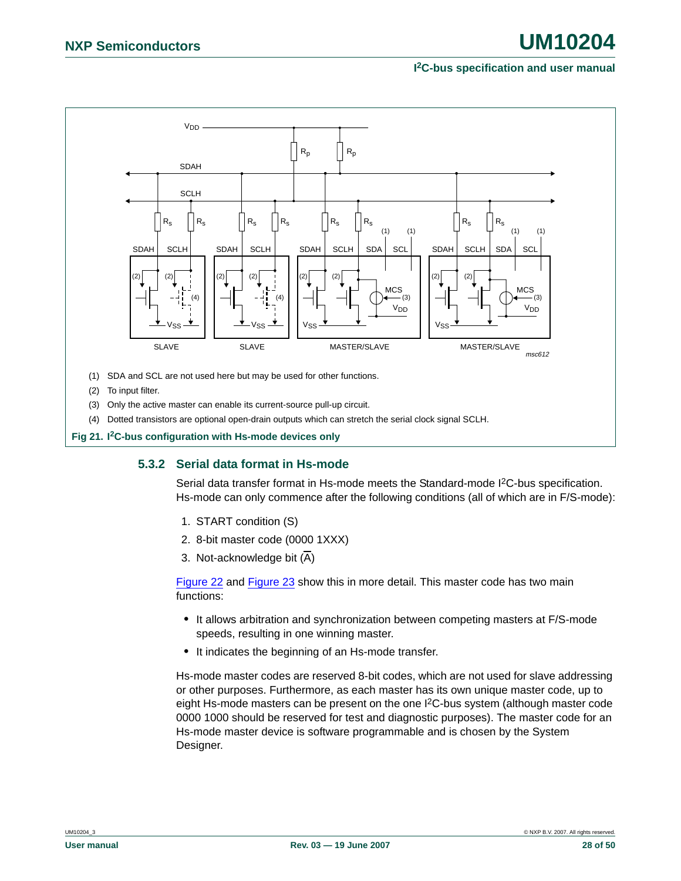

<span id="page-27-1"></span><span id="page-27-0"></span>**Fig 21. I2C-bus configuration with Hs-mode devices only**

### **5.3.2 Serial data format in Hs-mode**

Serial data transfer format in Hs-mode meets the Standard-mode I2C-bus specification. Hs-mode can only commence after the following conditions (all of which are in F/S-mode):

- 1. START condition (S)
- 2. 8-bit master code (0000 1XXX)
- 3. Not-acknowledge bit (A)

[Figure 22](#page-28-0) and [Figure 23](#page-29-0) show this in more detail. This master code has two main functions:

- **•** It allows arbitration and synchronization between competing masters at F/S-mode speeds, resulting in one winning master.
- **•** It indicates the beginning of an Hs-mode transfer.

Hs-mode master codes are reserved 8-bit codes, which are not used for slave addressing or other purposes. Furthermore, as each master has its own unique master code, up to eight Hs-mode masters can be present on the one I2C-bus system (although master code 0000 1000 should be reserved for test and diagnostic purposes). The master code for an Hs-mode master device is software programmable and is chosen by the System Designer.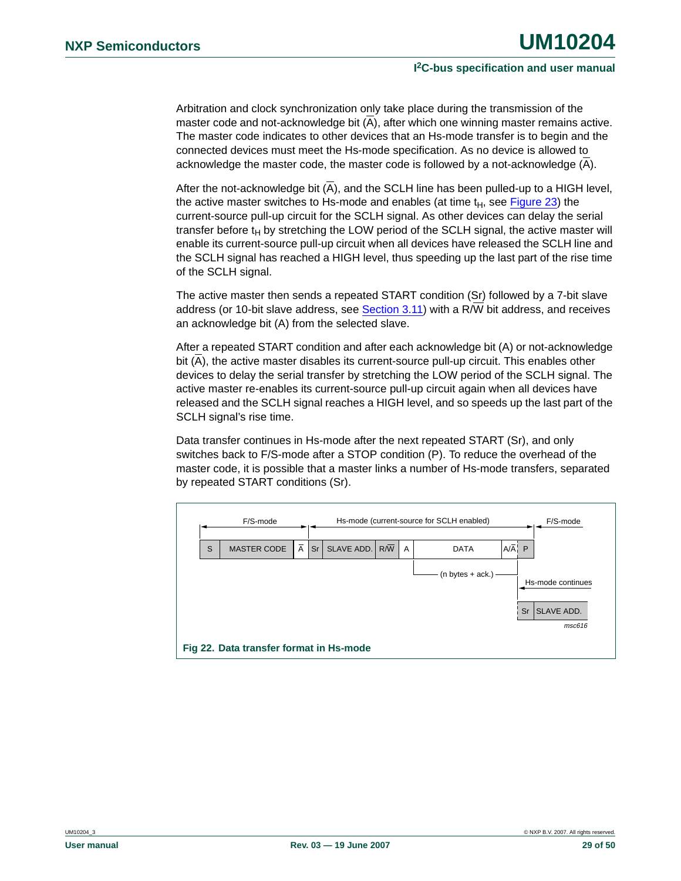Arbitration and clock synchronization only take place during the transmission of the master code and not-acknowledge bit (A), after which one winning master remains active. The master code indicates to other devices that an Hs-mode transfer is to begin and the connected devices must meet the Hs-mode specification. As no device is allowed to acknowledge the master code, the master code is followed by a not-acknowledge (A).

After the not-acknowledge bit (A), and the SCLH line has been pulled-up to a HIGH level, the active master switches to Hs-mode and enables (at time  $t_H$ , see [Figure 23](#page-29-0)) the current-source pull-up circuit for the SCLH signal. As other devices can delay the serial transfer before  $t_H$  by stretching the LOW period of the SCLH signal, the active master will enable its current-source pull-up circuit when all devices have released the SCLH line and the SCLH signal has reached a HIGH level, thus speeding up the last part of the rise time of the SCLH signal.

The active master then sends a repeated START condition (Sr) followed by a 7-bit slave address (or 10-bit slave address, see [Section 3.11\)](#page-14-3) with a R/W bit address, and receives an acknowledge bit (A) from the selected slave.

After a repeated START condition and after each acknowledge bit (A) or not-acknowledge bit (A), the active master disables its current-source pull-up circuit. This enables other devices to delay the serial transfer by stretching the LOW period of the SCLH signal. The active master re-enables its current-source pull-up circuit again when all devices have released and the SCLH signal reaches a HIGH level, and so speeds up the last part of the SCLH signal's rise time.

Data transfer continues in Hs-mode after the next repeated START (Sr), and only switches back to F/S-mode after a STOP condition (P). To reduce the overhead of the master code, it is possible that a master links a number of Hs-mode transfers, separated by repeated START conditions (Sr).

<span id="page-28-0"></span>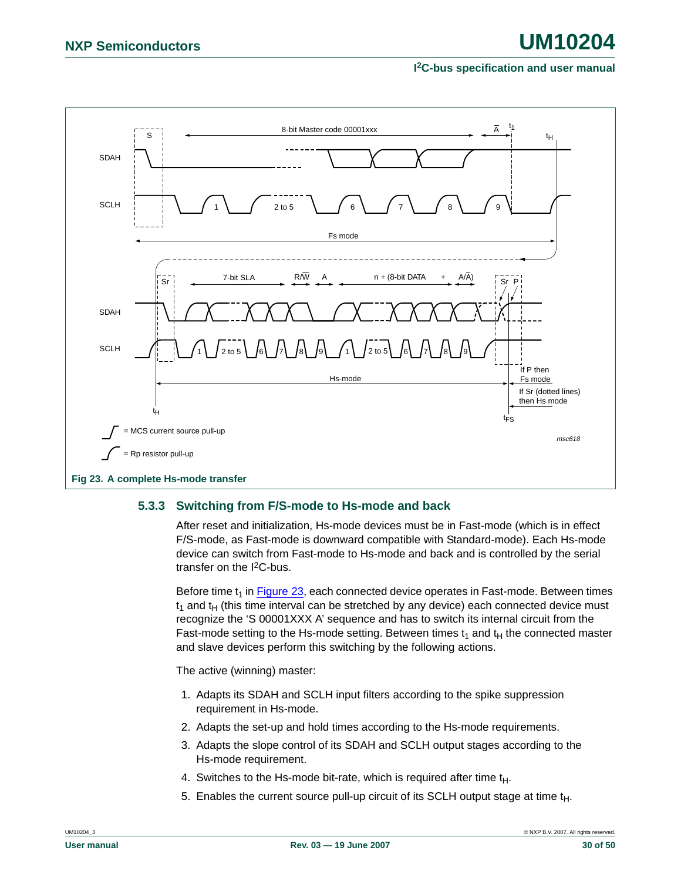

#### <span id="page-29-1"></span><span id="page-29-0"></span>**5.3.3 Switching from F/S-mode to Hs-mode and back**

After reset and initialization, Hs-mode devices must be in Fast-mode (which is in effect F/S-mode, as Fast-mode is downward compatible with Standard-mode). Each Hs-mode device can switch from Fast-mode to Hs-mode and back and is controlled by the serial transfer on the I2C-bus.

Before time  $t_1$  in **Figure 23**, each connected device operates in Fast-mode. Between times  $t_1$  and  $t_H$  (this time interval can be stretched by any device) each connected device must recognize the 'S 00001XXX A' sequence and has to switch its internal circuit from the Fast-mode setting to the Hs-mode setting. Between times  $t_1$  and  $t_H$  the connected master and slave devices perform this switching by the following actions.

The active (winning) master:

- 1. Adapts its SDAH and SCLH input filters according to the spike suppression requirement in Hs-mode.
- 2. Adapts the set-up and hold times according to the Hs-mode requirements.
- 3. Adapts the slope control of its SDAH and SCLH output stages according to the Hs-mode requirement.
- 4. Switches to the Hs-mode bit-rate, which is required after time  $t_H$ .
- 5. Enables the current source pull-up circuit of its SCLH output stage at time  $t<sub>H</sub>$ .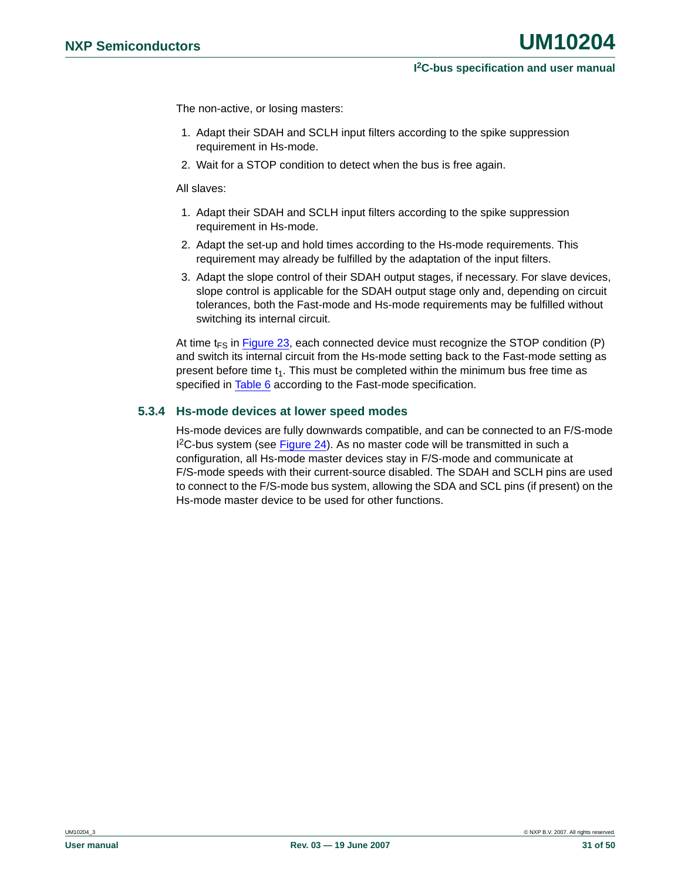The non-active, or losing masters:

- 1. Adapt their SDAH and SCLH input filters according to the spike suppression requirement in Hs-mode.
- 2. Wait for a STOP condition to detect when the bus is free again.

All slaves:

- 1. Adapt their SDAH and SCLH input filters according to the spike suppression requirement in Hs-mode.
- 2. Adapt the set-up and hold times according to the Hs-mode requirements. This requirement may already be fulfilled by the adaptation of the input filters.
- 3. Adapt the slope control of their SDAH output stages, if necessary. For slave devices, slope control is applicable for the SDAH output stage only and, depending on circuit tolerances, both the Fast-mode and Hs-mode requirements may be fulfilled without switching its internal circuit.

At time  $t_{FS}$  in [Figure 23](#page-29-0), each connected device must recognize the STOP condition (P) and switch its internal circuit from the Hs-mode setting back to the Fast-mode setting as present before time  $t_1$ . This must be completed within the minimum bus free time as specified in **Table 6** according to the Fast-mode specification.

#### <span id="page-30-0"></span>**5.3.4 Hs-mode devices at lower speed modes**

Hs-mode devices are fully downwards compatible, and can be connected to an F/S-mode <sup>2</sup>C-bus system (see [Figure 24\)](#page-31-0). As no master code will be transmitted in such a configuration, all Hs-mode master devices stay in F/S-mode and communicate at F/S-mode speeds with their current-source disabled. The SDAH and SCLH pins are used to connect to the F/S-mode bus system, allowing the SDA and SCL pins (if present) on the Hs-mode master device to be used for other functions.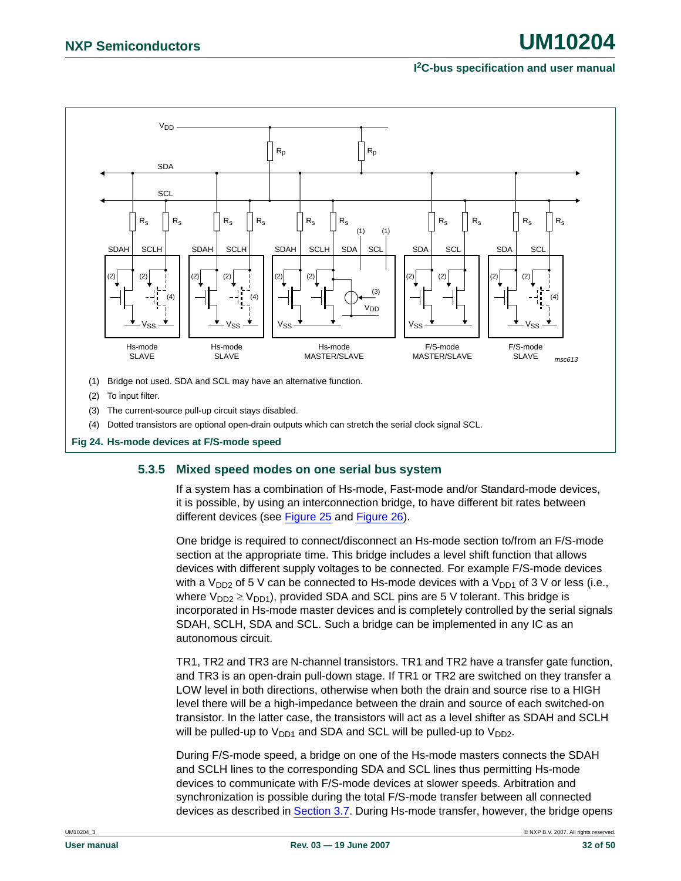

#### <span id="page-31-1"></span><span id="page-31-0"></span>**5.3.5 Mixed speed modes on one serial bus system**

If a system has a combination of Hs-mode, Fast-mode and/or Standard-mode devices, it is possible, by using an interconnection bridge, to have different bit rates between different devices (see [Figure 25](#page-32-0) and [Figure 26\)](#page-34-0).

One bridge is required to connect/disconnect an Hs-mode section to/from an F/S-mode section at the appropriate time. This bridge includes a level shift function that allows devices with different supply voltages to be connected. For example F/S-mode devices with a  $V_{DD2}$  of 5 V can be connected to Hs-mode devices with a  $V_{DD1}$  of 3 V or less (i.e., where  $V_{DD2} \ge V_{DD1}$ , provided SDA and SCL pins are 5 V tolerant. This bridge is incorporated in Hs-mode master devices and is completely controlled by the serial signals SDAH, SCLH, SDA and SCL. Such a bridge can be implemented in any IC as an autonomous circuit.

TR1, TR2 and TR3 are N-channel transistors. TR1 and TR2 have a transfer gate function, and TR3 is an open-drain pull-down stage. If TR1 or TR2 are switched on they transfer a LOW level in both directions, otherwise when both the drain and source rise to a HIGH level there will be a high-impedance between the drain and source of each switched-on transistor. In the latter case, the transistors will act as a level shifter as SDAH and SCLH will be pulled-up to  $V_{DD1}$  and SDA and SCL will be pulled-up to  $V_{DD2}$ .

During F/S-mode speed, a bridge on one of the Hs-mode masters connects the SDAH and SCLH lines to the corresponding SDA and SCL lines thus permitting Hs-mode devices to communicate with F/S-mode devices at slower speeds. Arbitration and synchronization is possible during the total F/S-mode transfer between all connected devices as described in [Section 3.7](#page-10-2). During Hs-mode transfer, however, the bridge opens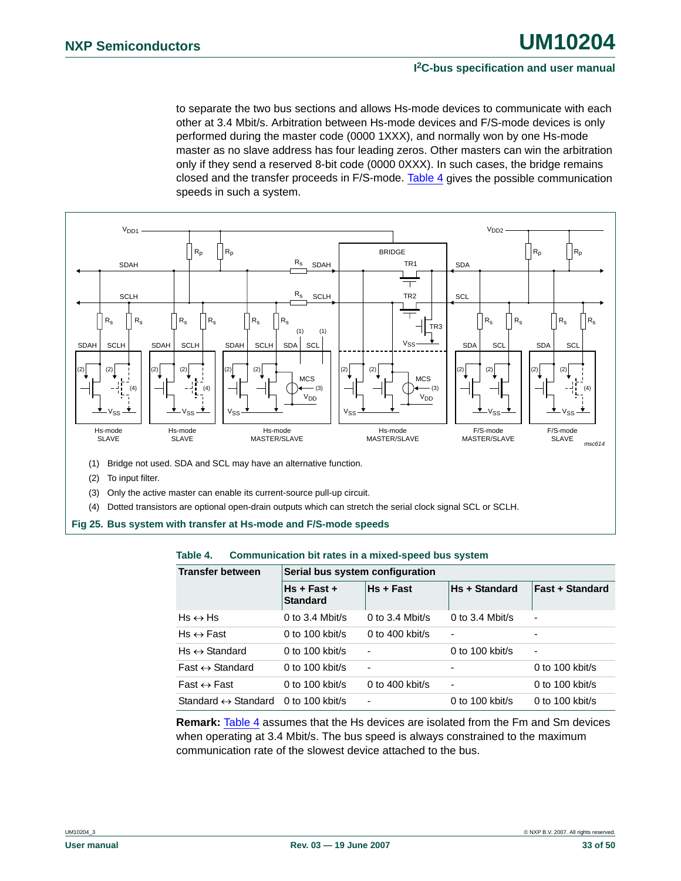to separate the two bus sections and allows Hs-mode devices to communicate with each other at 3.4 Mbit/s. Arbitration between Hs-mode devices and F/S-mode devices is only performed during the master code (0000 1XXX), and normally won by one Hs-mode master as no slave address has four leading zeros. Other masters can win the arbitration only if they send a reserved 8-bit code (0000 0XXX). In such cases, the bridge remains closed and the transfer proceeds in F/S-mode. [Table 4](#page-32-1) gives the possible communication speeds in such a system.



- (3) Only the active master can enable its current-source pull-up circuit.
- (4) Dotted transistors are optional open-drain outputs which can stretch the serial clock signal SCL or SCLH.
- <span id="page-32-0"></span>**Fig 25. Bus system with transfer at Hs-mode and F/S-mode speeds**

#### <span id="page-32-1"></span>**Table 4. Communication bit rates in a mixed-speed bus system**

| <b>Transfer between</b>             | Serial bus system configuration  |                 |                      |                          |  |  |  |  |  |
|-------------------------------------|----------------------------------|-----------------|----------------------|--------------------------|--|--|--|--|--|
|                                     | $Hs + Fast +$<br><b>Standard</b> | Hs + Fast       | <b>Hs + Standard</b> | <b>Fast + Standard</b>   |  |  |  |  |  |
| $Hs \leftrightarrow Hs$             | 0 to 3.4 Mbit/s                  | 0 to 3.4 Mbit/s | 0 to 3.4 Mbit/s      | $\overline{\phantom{a}}$ |  |  |  |  |  |
| $Hs \leftrightarrow Fast$           | 0 to $100$ kbit/s                | 0 to 400 kbit/s |                      |                          |  |  |  |  |  |
| $Hs \leftrightarrow$ Standard       | 0 to 100 kbit/s                  | $\blacksquare$  | 0 to 100 kbit/s      | $\overline{\phantom{a}}$ |  |  |  |  |  |
| $Fast \leftrightarrow Standard$     | 0 to 100 kbit/s                  | $\blacksquare$  |                      | 0 to 100 kbit/s          |  |  |  |  |  |
| $Fast \leftrightarrow Fast$         | 0 to $100$ kbit/s                | 0 to 400 kbit/s | ٠                    | 0 to $100$ kbit/s        |  |  |  |  |  |
| Standard $\leftrightarrow$ Standard | 0 to 100 kbit/s                  | $\blacksquare$  | 0 to 100 kbit/s      | 0 to 100 kbit/s          |  |  |  |  |  |

**Remark:** [Table 4](#page-32-1) assumes that the Hs devices are isolated from the Fm and Sm devices when operating at 3.4 Mbit/s. The bus speed is always constrained to the maximum communication rate of the slowest device attached to the bus.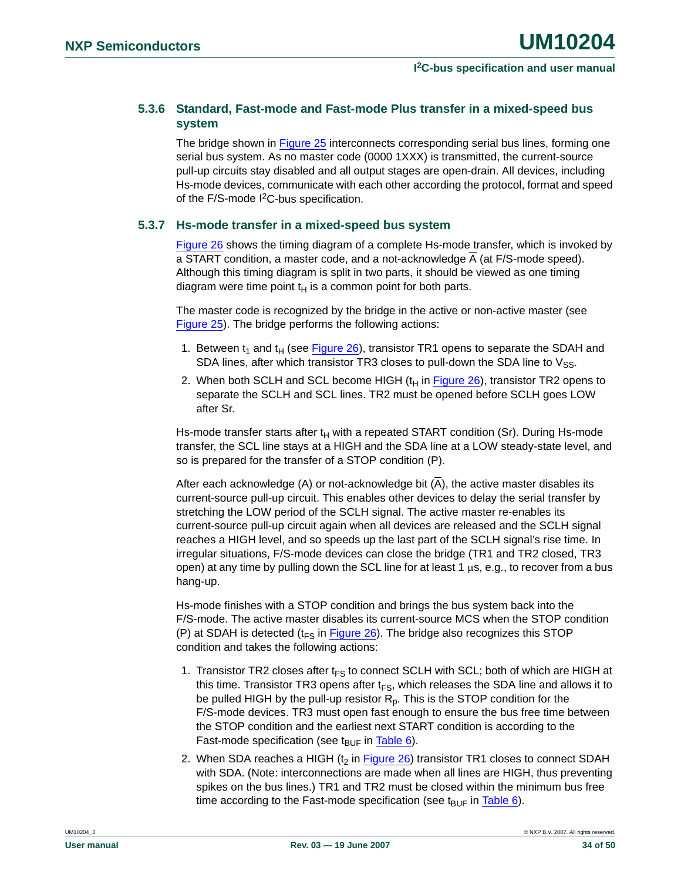### <span id="page-33-0"></span>**5.3.6 Standard, Fast-mode and Fast-mode Plus transfer in a mixed-speed bus system**

The bridge shown in [Figure 25](#page-32-0) interconnects corresponding serial bus lines, forming one serial bus system. As no master code (0000 1XXX) is transmitted, the current-source pull-up circuits stay disabled and all output stages are open-drain. All devices, including Hs-mode devices, communicate with each other according the protocol, format and speed of the F/S-mode I<sup>2</sup>C-bus specification.

#### <span id="page-33-1"></span>**5.3.7 Hs-mode transfer in a mixed-speed bus system**

[Figure 26](#page-34-0) shows the timing diagram of a complete Hs-mode transfer, which is invoked by a START condition, a master code, and a not-acknowledge A (at F/S-mode speed). Although this timing diagram is split in two parts, it should be viewed as one timing diagram were time point  $t_H$  is a common point for both parts.

The master code is recognized by the bridge in the active or non-active master (see [Figure 25\)](#page-32-0). The bridge performs the following actions:

- 1. Between  $t_1$  and  $t_H$  (see [Figure 26\)](#page-34-0), transistor TR1 opens to separate the SDAH and SDA lines, after which transistor TR3 closes to pull-down the SDA line to  $V_{SS}$ .
- 2. When both SCLH and SCL become HIGH  $(t<sub>H</sub>$  in [Figure 26\)](#page-34-0), transistor TR2 opens to separate the SCLH and SCL lines. TR2 must be opened before SCLH goes LOW after Sr.

Hs-mode transfer starts after  $t_H$  with a repeated START condition (Sr). During Hs-mode transfer, the SCL line stays at a HIGH and the SDA line at a LOW steady-state level, and so is prepared for the transfer of a STOP condition (P).

After each acknowledge (A) or not-acknowledge bit (A), the active master disables its current-source pull-up circuit. This enables other devices to delay the serial transfer by stretching the LOW period of the SCLH signal. The active master re-enables its current-source pull-up circuit again when all devices are released and the SCLH signal reaches a HIGH level, and so speeds up the last part of the SCLH signal's rise time. In irregular situations, F/S-mode devices can close the bridge (TR1 and TR2 closed, TR3 open) at any time by pulling down the SCL line for at least 1  $\mu$ s, e.g., to recover from a bus hang-up.

Hs-mode finishes with a STOP condition and brings the bus system back into the F/S-mode. The active master disables its current-source MCS when the STOP condition (P) at SDAH is detected ( $t_{FS}$  in [Figure 26\)](#page-34-0). The bridge also recognizes this STOP condition and takes the following actions:

- 1. Transistor TR2 closes after  $t_{FS}$  to connect SCLH with SCL; both of which are HIGH at this time. Transistor TR3 opens after  $t_{FS}$ , which releases the SDA line and allows it to be pulled HIGH by the pull-up resistor  $R_p$ . This is the STOP condition for the F/S-mode devices. TR3 must open fast enough to ensure the bus free time between the STOP condition and the earliest next START condition is according to the Fast-mode specification (see  $t_{\text{BUF}}$  in [Table 6](#page-36-0)).
- 2. When SDA reaches a HIGH ( $t_2$  in [Figure 26\)](#page-34-0) transistor TR1 closes to connect SDAH with SDA. (Note: interconnections are made when all lines are HIGH, thus preventing spikes on the bus lines.) TR1 and TR2 must be closed within the minimum bus free time according to the Fast-mode specification (see  $t_{\text{BUF}}$  in [Table 6\)](#page-36-0).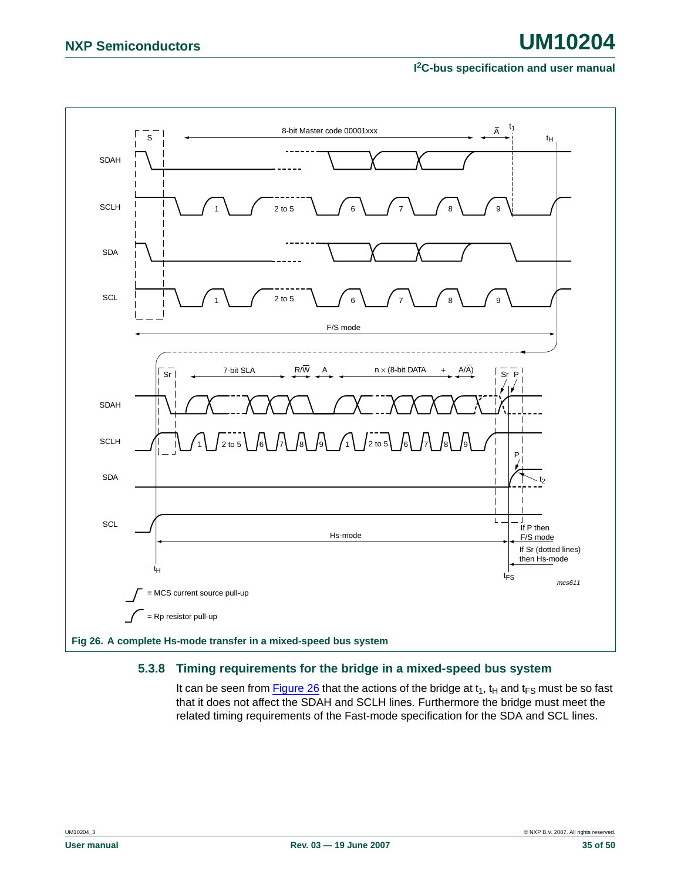

#### <span id="page-34-1"></span><span id="page-34-0"></span>**5.3.8 Timing requirements for the bridge in a mixed-speed bus system**

It can be seen from [Figure 26](#page-34-0) that the actions of the bridge at  $t_1$ ,  $t_H$  and  $t_{FS}$  must be so fast that it does not affect the SDAH and SCLH lines. Furthermore the bridge must meet the related timing requirements of the Fast-mode specification for the SDA and SCL lines.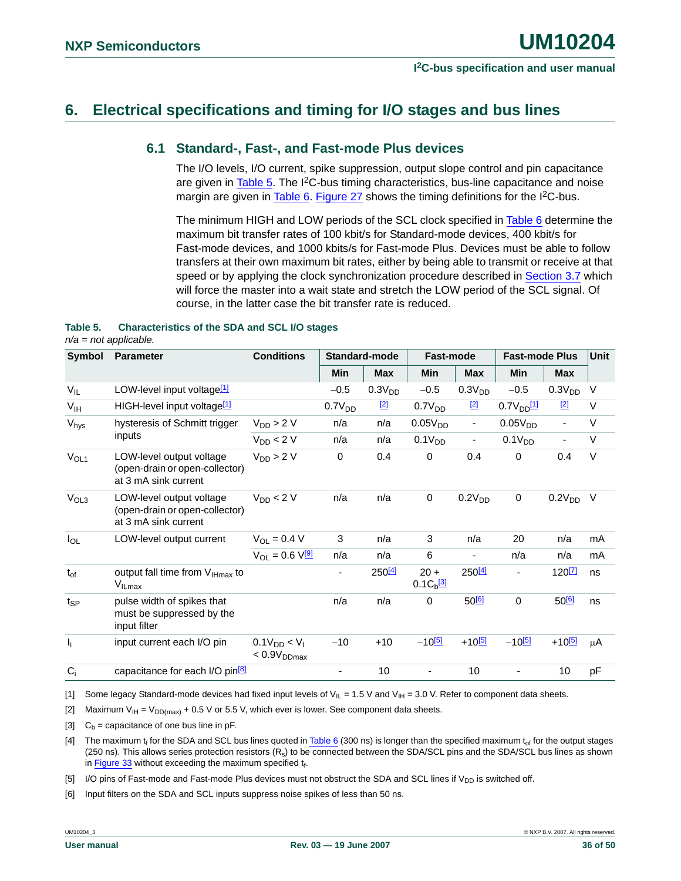## <span id="page-35-8"></span><span id="page-35-0"></span>**6. Electrical specifications and timing for I/O stages and bus lines**

### **6.1 Standard-, Fast-, and Fast-mode Plus devices**

The I/O levels, I/O current, spike suppression, output slope control and pin capacitance are given in  $Table 5$ . The  $12C$ -bus timing characteristics, bus-line capacitance and noise margin are given in [Table 6](#page-36-0). [Figure 27](#page-37-0) shows the timing definitions for the I<sup>2</sup>C-bus.

The minimum HIGH and LOW periods of the SCL clock specified in [Table 6](#page-36-0) determine the maximum bit transfer rates of 100 kbit/s for Standard-mode devices, 400 kbit/s for Fast-mode devices, and 1000 kbits/s for Fast-mode Plus. Devices must be able to follow transfers at their own maximum bit rates, either by being able to transmit or receive at that speed or by applying the clock synchronization procedure described in [Section 3.7](#page-10-2) which will force the master into a wait state and stretch the LOW period of the SCL signal. Of course, in the latter case the bit transfer rate is reduced.

#### <span id="page-35-1"></span>**Table 5. Characteristics of the SDA and SCL I/O stages**

*n/a = not applicable.*

| Symbol           | <b>Parameter</b>                                                                   | <b>Conditions</b>                            |                    | Standard-mode      | Fast-mode                           |                          | <b>Fast-mode Plus</b> | <b>Unit</b>              |        |
|------------------|------------------------------------------------------------------------------------|----------------------------------------------|--------------------|--------------------|-------------------------------------|--------------------------|-----------------------|--------------------------|--------|
|                  |                                                                                    |                                              | <b>Min</b>         | <b>Max</b>         | Min                                 | <b>Max</b>               | Min                   | <b>Max</b>               |        |
| $V_{IL}$         | LOW-level input voltage <sup>[1]</sup>                                             |                                              | $-0.5$             | 0.3V <sub>DD</sub> | $-0.5$                              | 0.3V <sub>DD</sub>       | $-0.5$                | 0.3V <sub>DD</sub>       | $\vee$ |
| V <sub>IH</sub>  | HIGH-level input voltage <sup>[1]</sup>                                            |                                              | 0.7V <sub>DD</sub> | $[2]$              | 0.7V <sub>DD</sub>                  | $[2]$                    | 0.7V <sub>DD</sub> 11 | $[2]$                    | $\vee$ |
| V <sub>hys</sub> | hysteresis of Schmitt trigger                                                      | $V_{DD}$ > 2 V                               | n/a                | n/a                | 0.05V <sub>DD</sub>                 | $\blacksquare$           | 0.05V <sub>DD</sub>   | $\overline{\phantom{a}}$ | V      |
|                  | inputs                                                                             | $V_{DD}$ < 2 V                               | n/a                | n/a                | 0.1V <sub>DD</sub>                  | $\overline{\phantom{a}}$ | 0.1V <sub>DD</sub>    | $\overline{\phantom{a}}$ | $\vee$ |
| V <sub>OL1</sub> | LOW-level output voltage<br>(open-drain or open-collector)<br>at 3 mA sink current | $V_{DD}$ > 2 V                               | $\mathbf 0$        | 0.4                | 0                                   | 0.4                      | $\mathbf 0$           | 0.4                      | $\vee$ |
| V <sub>OL3</sub> | LOW-level output voltage<br>(open-drain or open-collector)<br>at 3 mA sink current | $V_{DD}$ < 2 V                               | n/a                | n/a                | 0                                   | 0.2V <sub>DD</sub>       | $\mathbf 0$           | 0.2V <sub>DD</sub>       | V      |
| $I_{OL}$         | LOW-level output current                                                           | $V_{OL} = 0.4 V$                             | 3                  | n/a                | 3                                   | n/a                      | 20                    | n/a                      | mA     |
|                  |                                                                                    | $V_{\text{O}} = 0.6 V_{\text{O}}$            | n/a                | n/a                | 6                                   | $\overline{\phantom{a}}$ | n/a                   | n/a                      | mA     |
| $t_{of}$         | output fall time from V <sub>IHmax</sub> to<br>$V_{I L max}$                       |                                              | ٠                  | 250 <sup>[4]</sup> | $20 +$<br>$0.1C_{b}$ <sup>[3]</sup> | 250[4]                   | ٠                     | 120 <sup>[7]</sup>       | ns     |
| $t_{SP}$         | pulse width of spikes that<br>must be suppressed by the<br>input filter            |                                              | n/a                | n/a                | 0                                   | $50^{6}$                 | $\pmb{0}$             | 50 <sup>[6]</sup>        | ns     |
| $I_i$            | input current each I/O pin                                                         | $0.1V_{DD} < V_1$<br>< 0.9V <sub>DDmax</sub> | $-10$              | $+10$              | $-10^{[5]}$                         | $+10^{5}$                | $-10^{[5]}$           | $+10^{[5]}$              | μA     |
| $C_i$            | capacitance for each I/O pin <sup>[8]</sup>                                        |                                              | ۰                  | 10                 |                                     | 10                       |                       | 10                       | pF     |

<span id="page-35-2"></span>[1] Some legacy Standard-mode devices had fixed input levels of  $V_{IL} = 1.5$  V and  $V_{IH} = 3.0$  V. Refer to component data sheets.

<span id="page-35-5"></span>[2] Maximum  $V_{IH} = V_{DD(max)} + 0.5 V$  or 5.5 V, which ever is lower. See component data sheets.

<span id="page-35-4"></span>[3]  $C_b$  = capacitance of one bus line in pF.

<span id="page-35-3"></span>[4] The maximum  $t_f$  for the SDA and SCL bus lines quoted in [Table 6](#page-36-0) (300 ns) is longer than the specified maximum  $t_{of}$  for the output stages (250 ns). This allows series protection resistors  $(R_s)$  to be connected between the SDA/SCL pins and the SDA/SCL bus lines as shown in [Figure 33](#page-45-0) without exceeding the maximum specified  $t_f$ .

<span id="page-35-7"></span>[5] I/O pins of Fast-mode and Fast-mode Plus devices must not obstruct the SDA and SCL lines if  $V_{DD}$  is switched off.

<span id="page-35-6"></span>[6] Input filters on the SDA and SCL inputs suppress noise spikes of less than 50 ns.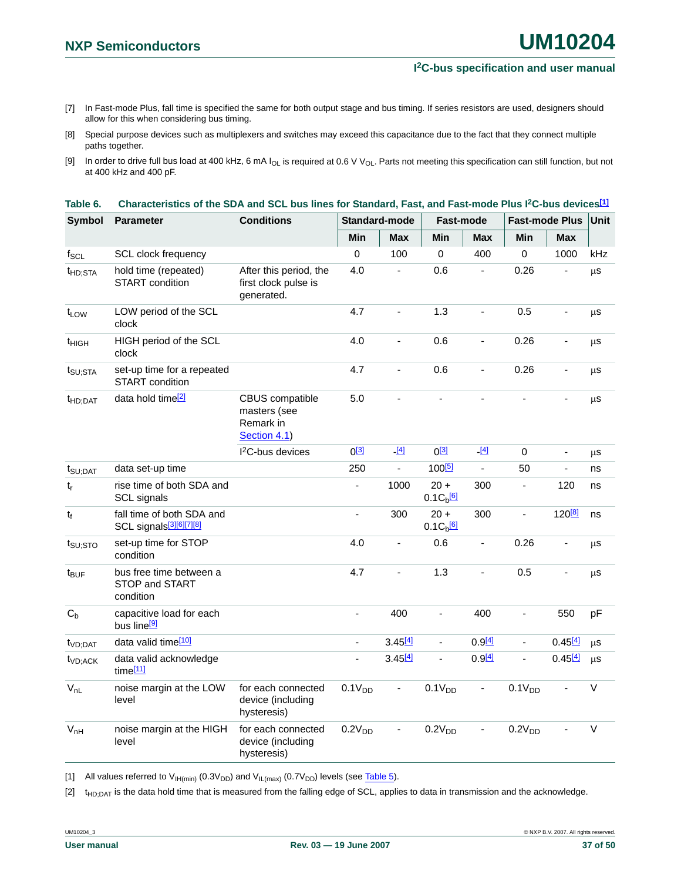- <span id="page-36-2"></span>[7] In Fast-mode Plus, fall time is specified the same for both output stage and bus timing. If series resistors are used, designers should allow for this when considering bus timing.
- <span id="page-36-3"></span>[8] Special purpose devices such as multiplexers and switches may exceed this capacitance due to the fact that they connect multiple paths together.
- <span id="page-36-1"></span>[9] In order to drive full bus load at 400 kHz, 6 mA I<sub>OL</sub> is required at 0.6 V V<sub>OL</sub>. Parts not meeting this specification can still function, but not at 400 kHz and 400 pF.

| <b>Symbol</b>        | <b>Parameter</b>                                                 | <b>Conditions</b>                                                   |                    | Standard-mode  | Fast-mode                           |                          | <b>Fast-mode Plus</b> |                              | Unit    |
|----------------------|------------------------------------------------------------------|---------------------------------------------------------------------|--------------------|----------------|-------------------------------------|--------------------------|-----------------------|------------------------------|---------|
|                      |                                                                  |                                                                     | Min                | <b>Max</b>     | Min                                 | <b>Max</b>               | Min                   | <b>Max</b>                   |         |
| $f_{\rm SCL}$        | SCL clock frequency                                              |                                                                     | $\Omega$           | 100            | $\mathbf 0$                         | 400                      | $\mathbf 0$           | 1000                         | kHz     |
| t <sub>HD:STA</sub>  | hold time (repeated)<br><b>START</b> condition                   | After this period, the<br>first clock pulse is<br>generated.        | 4.0                | $\blacksquare$ | 0.6                                 | $\overline{\phantom{a}}$ | 0.26                  |                              | μS      |
| t <sub>LOW</sub>     | LOW period of the SCL<br>clock                                   |                                                                     | 4.7                | ÷,             | 1.3                                 | ÷,                       | 0.5                   | $\blacksquare$               | μS      |
| t <sub>HIGH</sub>    | HIGH period of the SCL<br>clock                                  |                                                                     | 4.0                | ä,             | 0.6                                 | $\blacksquare$           | 0.26                  | $\blacksquare$               | μs      |
| t <sub>SU;STA</sub>  | set-up time for a repeated<br><b>START</b> condition             |                                                                     | 4.7                | ä,             | 0.6                                 | $\blacksquare$           | 0.26                  | ÷,                           | μS      |
| t <sub>HD</sub> :DAT | data hold time <sup>[2]</sup>                                    | <b>CBUS</b> compatible<br>masters (see<br>Remark in<br>Section 4.1) | 5.0                | $\mathbf{r}$   | L.                                  | ÷,                       | $\blacksquare$        | $\blacksquare$               | $\mu$ s |
|                      |                                                                  | <sup>2</sup> C-bus devices                                          | $0^{[3]}$          | $ [4]$         | $0^{[3]}$                           | $ [4]$                   | $\mathbf 0$           | $\blacksquare$               | μS      |
| $t_{\text{SU;DAT}}$  | data set-up time                                                 |                                                                     | 250                | ä,             | 100 <sup>[5]</sup>                  | $\blacksquare$           | 50                    | ÷,                           | ns      |
| $t_r$                | rise time of both SDA and<br>SCL signals                         |                                                                     | $\blacksquare$     | 1000           | $20 +$<br>$0.1C_{b}$ <sup>[6]</sup> | 300                      | $\blacksquare$        | 120                          | ns      |
| $t_f$                | fall time of both SDA and<br>SCL signals <sup>[3][6][7][8]</sup> |                                                                     | ÷,                 | 300            | $20 +$<br>$0.1Cb$ <sup>[6]</sup>    | 300                      | $\blacksquare$        | 120 <sup>[8]</sup>           | ns      |
| $t_{\text{SU;STO}}$  | set-up time for STOP<br>condition                                |                                                                     | 4.0                | $\overline{a}$ | 0.6                                 | $\blacksquare$           | 0.26                  | $\qquad \qquad \blacksquare$ | μS      |
| t <sub>BUF</sub>     | bus free time between a<br>STOP and START<br>condition           |                                                                     | 4.7                | ÷,             | 1.3                                 | ÷,                       | 0.5                   | $\overline{a}$               | μs      |
| $C_{b}$              | capacitive load for each<br>bus line <sup>[9]</sup>              |                                                                     | $\blacksquare$     | 400            | $\blacksquare$                      | 400                      | $\blacksquare$        | 550                          | pF      |
| t <sub>VD;DAT</sub>  | data valid time[10]                                              |                                                                     | $\blacksquare$     | 3.45[4]        | ä,                                  | $0.9^{[4]}$              | ä,                    | 0.45[4]                      | μs      |
| $t_{VD;ACK}$         | data valid acknowledge<br>time[11]                               |                                                                     | $\overline{a}$     | 3.45[4]        | L.                                  | $0.9^{[4]}$              | ä,                    | 0.45[4]                      | μS      |
| $V_{nL}$             | noise margin at the LOW<br>level                                 | for each connected<br>device (including<br>hysteresis)              | 0.1V <sub>DD</sub> | ä,             | 0.1V <sub>DD</sub>                  | $\overline{\phantom{a}}$ | 0.1V <sub>DD</sub>    | ÷,                           | $\vee$  |
| $V_{nH}$             | noise margin at the HIGH<br>level                                | for each connected<br>device (including<br>hysteresis)              | 0.2V <sub>DD</sub> | $\blacksquare$ | 0.2V <sub>DD</sub>                  | $\blacksquare$           | 0.2V <sub>DD</sub>    |                              | $\vee$  |

#### <span id="page-36-0"></span>**Table 6. Characteristics of the SDA and SCL bus lines for Standard, Fast, and Fast-mode Plus I2C-bus device[s\[1\]](#page-36-4)**

<span id="page-36-4"></span>[1] All values referred to  $V_{H(min)}$  (0.3V<sub>DD</sub>) and  $V_{I L(max)}$  (0.7V<sub>DD</sub>) levels (see [Table 5](#page-35-1)).

<span id="page-36-5"></span>[2] t<sub>HD:DAT</sub> is the data hold time that is measured from the falling edge of SCL, applies to data in transmission and the acknowledge.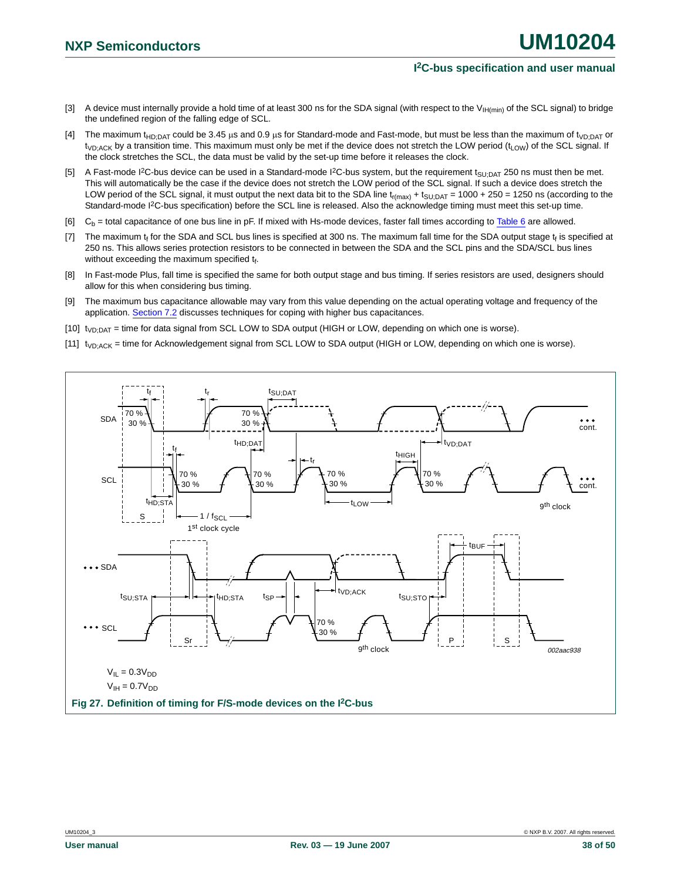- <span id="page-37-1"></span>[3] A device must internally provide a hold time of at least 300 ns for the SDA signal (with respect to the V<sub>IH(min)</sub> of the SCL signal) to bridge the undefined region of the falling edge of SCL.
- <span id="page-37-7"></span>[4] The maximum t<sub>HD;DAT</sub> could be 3.45 µs and 0.9 µs for Standard-mode and Fast-mode, but must be less than the maximum of t<sub>VD;DAT</sub> or  $t_{VD:ACK}$  by a transition time. This maximum must only be met if the device does not stretch the LOW period ( $t_{LOW}$ ) of the SCL signal. If the clock stretches the SCL, the data must be valid by the set-up time before it releases the clock.
- <span id="page-37-8"></span>[5] A Fast-mode I<sup>2</sup>C-bus device can be used in a Standard-mode I<sup>2</sup>C-bus system, but the requirement t<sub>SU:DAT</sub> 250 ns must then be met. This will automatically be the case if the device does not stretch the LOW period of the SCL signal. If such a device does stretch the LOW period of the SCL signal, it must output the next data bit to the SDA line  $t_{r(max)} + t_{SU;DAT} = 1000 + 250 = 1250$  ns (according to the Standard-mode I<sup>2</sup>C-bus specification) before the SCL line is released. Also the acknowledge timing must meet this set-up time.
- <span id="page-37-2"></span>[6]  $C_b$  = total capacitance of one bus line in pF. If mixed with Hs-mode devices, faster fall times according to [Table 6](#page-36-0) are allowed.
- <span id="page-37-3"></span>[7] The maximum  $t_f$  for the SDA and SCL bus lines is specified at 300 ns. The maximum fall time for the SDA output stage  $t_f$  is specified at 250 ns. This allows series protection resistors to be connected in between the SDA and the SCL pins and the SDA/SCL bus lines without exceeding the maximum specified  $t_f$ .
- <span id="page-37-4"></span>[8] In Fast-mode Plus, fall time is specified the same for both output stage and bus timing. If series resistors are used, designers should allow for this when considering bus timing.
- <span id="page-37-5"></span>[9] The maximum bus capacitance allowable may vary from this value depending on the actual operating voltage and frequency of the application. [Section 7.2](#page-42-0) discusses techniques for coping with higher bus capacitances.
- <span id="page-37-6"></span>[10]  $t_{VD;DAT}$  = time for data signal from SCL LOW to SDA output (HIGH or LOW, depending on which one is worse).
- <span id="page-37-9"></span>[11] t<sub>VD;ACK</sub> = time for Acknowledgement signal from SCL LOW to SDA output (HIGH or LOW, depending on which one is worse).

<span id="page-37-0"></span>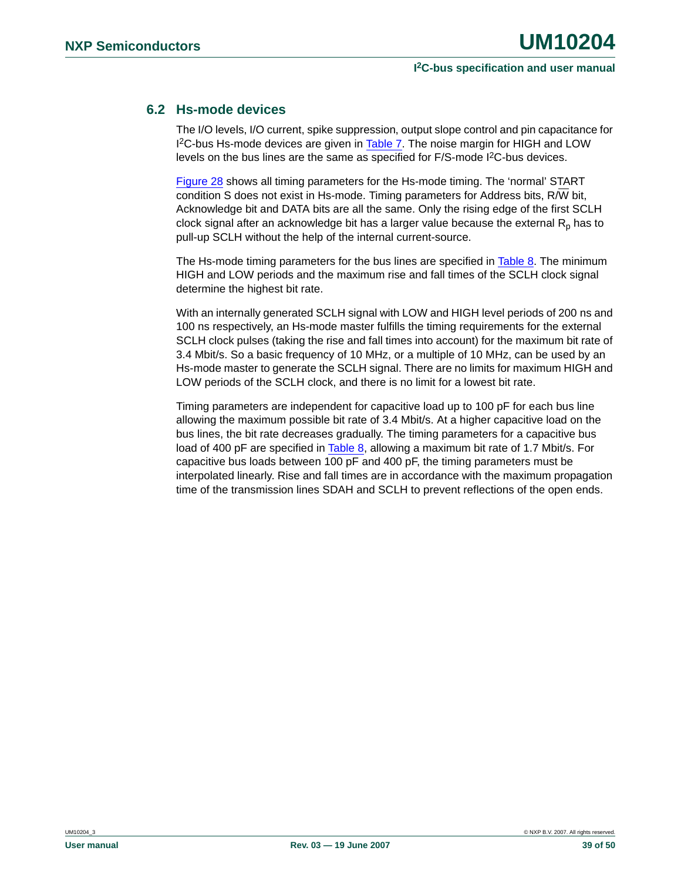### <span id="page-38-0"></span>**6.2 Hs-mode devices**

The I/O levels, I/O current, spike suppression, output slope control and pin capacitance for 1<sup>2</sup>C-bus Hs-mode devices are given in [Table 7.](#page-39-0) The noise margin for HIGH and LOW levels on the bus lines are the same as specified for F/S-mode I<sup>2</sup>C-bus devices.

[Figure 28](#page-41-0) shows all timing parameters for the Hs-mode timing. The 'normal' START condition S does not exist in Hs-mode. Timing parameters for Address bits, R/W bit, Acknowledge bit and DATA bits are all the same. Only the rising edge of the first SCLH clock signal after an acknowledge bit has a larger value because the external  $R_p$  has to pull-up SCLH without the help of the internal current-source.

The Hs-mode timing parameters for the bus lines are specified in [Table 8](#page-40-0). The minimum HIGH and LOW periods and the maximum rise and fall times of the SCLH clock signal determine the highest bit rate.

With an internally generated SCLH signal with LOW and HIGH level periods of 200 ns and 100 ns respectively, an Hs-mode master fulfills the timing requirements for the external SCLH clock pulses (taking the rise and fall times into account) for the maximum bit rate of 3.4 Mbit/s. So a basic frequency of 10 MHz, or a multiple of 10 MHz, can be used by an Hs-mode master to generate the SCLH signal. There are no limits for maximum HIGH and LOW periods of the SCLH clock, and there is no limit for a lowest bit rate.

Timing parameters are independent for capacitive load up to 100 pF for each bus line allowing the maximum possible bit rate of 3.4 Mbit/s. At a higher capacitive load on the bus lines, the bit rate decreases gradually. The timing parameters for a capacitive bus load of 400 pF are specified in [Table 8](#page-40-0), allowing a maximum bit rate of 1.7 Mbit/s. For capacitive bus loads between 100 pF and 400 pF, the timing parameters must be interpolated linearly. Rise and fall times are in accordance with the maximum propagation time of the transmission lines SDAH and SCLH to prevent reflections of the open ends.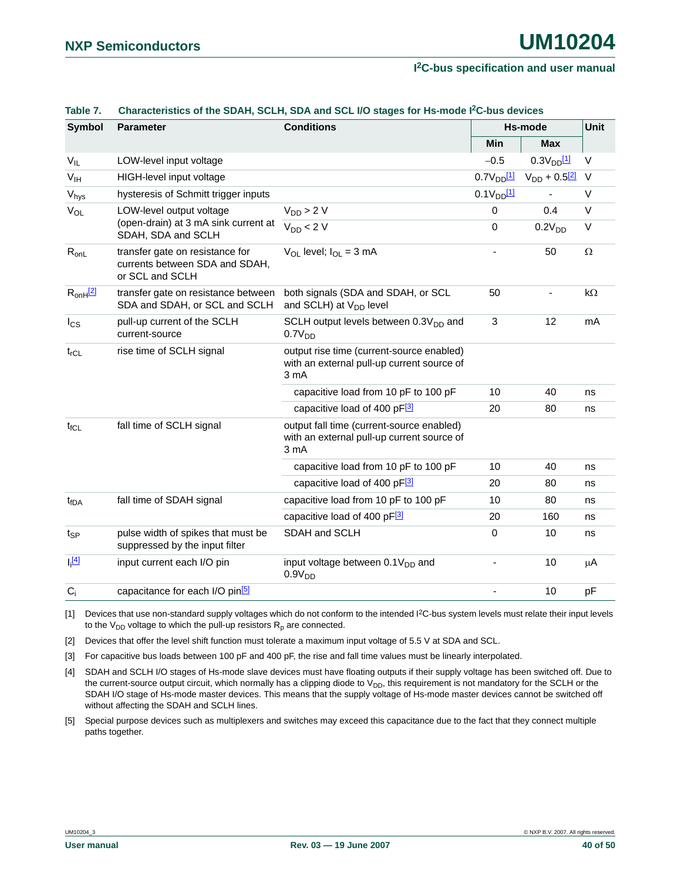| <b>Symbol</b>       | <b>Parameter</b>                                                                     | <b>Conditions</b>                                                                               |                            | Hs-mode                       | Unit      |
|---------------------|--------------------------------------------------------------------------------------|-------------------------------------------------------------------------------------------------|----------------------------|-------------------------------|-----------|
|                     |                                                                                      |                                                                                                 | Min                        | <b>Max</b>                    |           |
| $V_{IL}$            | LOW-level input voltage                                                              |                                                                                                 | $-0.5$                     | 0.3V <sub>DD</sub> 11         | V         |
| $V_{IH}$            | HIGH-level input voltage                                                             |                                                                                                 | $0.7V_{DD}$ <sup>[1]</sup> | $V_{DD}$ + 0.5 <sup>[2]</sup> | $\vee$    |
| $V_{\text{hys}}$    | hysteresis of Schmitt trigger inputs                                                 |                                                                                                 | $0.1V_{DD}$ [1]            |                               | $\vee$    |
| $V_{OL}$            | LOW-level output voltage                                                             | $V_{DD}$ > 2 V                                                                                  | $\mathbf 0$                | 0.4                           | $\vee$    |
|                     | (open-drain) at 3 mA sink current at<br>SDAH, SDA and SCLH                           | $V_{DD}$ < 2 V                                                                                  | 0                          | 0.2V <sub>DD</sub>            | V         |
| $R_{onL}$           | transfer gate on resistance for<br>currents between SDA and SDAH,<br>or SCL and SCLH | $V_{OL}$ level; $I_{OL} = 3$ mA                                                                 |                            | 50                            | $\Omega$  |
| $R_{onH}$ [2]       | transfer gate on resistance between<br>SDA and SDAH, or SCL and SCLH                 | both signals (SDA and SDAH, or SCL<br>and SCLH) at V <sub>DD</sub> level                        | 50                         | ٠                             | $k\Omega$ |
| $I_{CS}$            | pull-up current of the SCLH<br>current-source                                        | SCLH output levels between 0.3V <sub>DD</sub> and<br>0.7V <sub>DD</sub>                         | $\ensuremath{\mathsf{3}}$  | 12                            | mA        |
| $t_{rCL}$           | rise time of SCLH signal                                                             | output rise time (current-source enabled)<br>with an external pull-up current source of<br>3 mA |                            |                               |           |
|                     |                                                                                      | capacitive load from 10 pF to 100 pF                                                            | 10                         | 40                            | ns        |
|                     |                                                                                      | capacitive load of 400 pF[3]                                                                    | 20                         | 80                            | ns        |
| $t_{fCL}$           | fall time of SCLH signal                                                             | output fall time (current-source enabled)<br>with an external pull-up current source of<br>3 mA |                            |                               |           |
|                     |                                                                                      | capacitive load from 10 pF to 100 pF                                                            | 10                         | 40                            | ns        |
|                     | capacitive load of 400 pF[3]                                                         |                                                                                                 | 20                         | 80                            | ns        |
| t <sub>fDA</sub>    | fall time of SDAH signal                                                             | capacitive load from 10 pF to 100 pF                                                            | 10                         | 80                            | ns        |
|                     |                                                                                      | capacitive load of 400 pF[3]                                                                    | 20                         | 160                           | ns        |
| $t_{\mathsf{SP}}$   | pulse width of spikes that must be<br>suppressed by the input filter                 | SDAH and SCLH                                                                                   | 0                          | 10                            | ns        |
| $\lfloor 4 \rfloor$ | input current each I/O pin                                                           | input voltage between $0.1V_{DD}$ and<br>0.9V <sub>DD</sub>                                     |                            | 10                            | μA        |
| $C_i$               | capacitance for each I/O pin <sup>[5]</sup>                                          |                                                                                                 |                            | 10                            | pF        |

#### <span id="page-39-0"></span>**Table 7. Characteristics of the SDAH, SCLH, SDA and SCL I/O stages for Hs-mode I2C-bus devices**

<span id="page-39-1"></span>[1] Devices that use non-standard supply voltages which do not conform to the intended I<sup>2</sup>C-bus system levels must relate their input levels to the  $V_{DD}$  voltage to which the pull-up resistors  $R_p$  are connected.

<span id="page-39-2"></span>[2] Devices that offer the level shift function must tolerate a maximum input voltage of 5.5 V at SDA and SCL.

<span id="page-39-3"></span>[3] For capacitive bus loads between 100 pF and 400 pF, the rise and fall time values must be linearly interpolated.

<span id="page-39-5"></span>[4] SDAH and SCLH I/O stages of Hs-mode slave devices must have floating outputs if their supply voltage has been switched off. Due to the current-source output circuit, which normally has a clipping diode to V<sub>DD</sub>, this requirement is not mandatory for the SCLH or the SDAH I/O stage of Hs-mode master devices. This means that the supply voltage of Hs-mode master devices cannot be switched off without affecting the SDAH and SCLH lines.

<span id="page-39-4"></span>[5] Special purpose devices such as multiplexers and switches may exceed this capacitance due to the fact that they connect multiple paths together.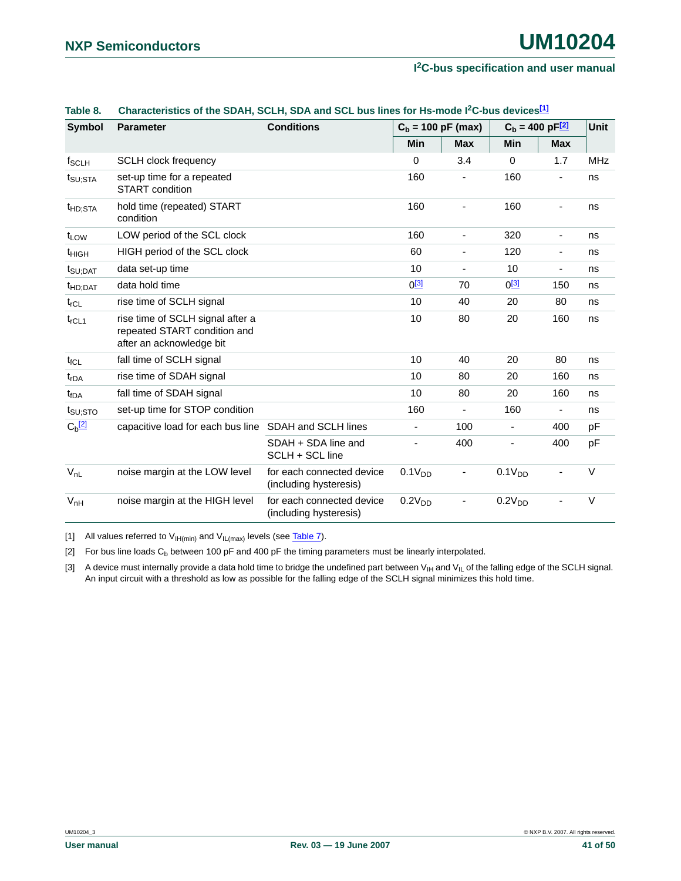|                            | <u>UNIMEDIDING UNIVERSITY UULIN UULI MIN UUL DUS IINUS I</u>                                 |                                                     |                      |                              | 01 113 1110 46 1 - 0 DUS 46 TIGGS         |                          |             |
|----------------------------|----------------------------------------------------------------------------------------------|-----------------------------------------------------|----------------------|------------------------------|-------------------------------------------|--------------------------|-------------|
| <b>Symbol</b>              | <b>Parameter</b>                                                                             | <b>Conditions</b>                                   | $C_b = 100$ pF (max) |                              | $C_{\rm b} = 400 \,\rm pF$ <sup>[2]</sup> |                          | <b>Unit</b> |
|                            |                                                                                              |                                                     | <b>Min</b>           | <b>Max</b>                   | Min                                       | <b>Max</b>               |             |
| $f_{\scriptstyle\rm SCLH}$ | <b>SCLH clock frequency</b>                                                                  |                                                     | $\Omega$             | 3.4                          | 0                                         | 1.7                      | <b>MHz</b>  |
| t <sub>SU;STA</sub>        | set-up time for a repeated<br>START condition                                                |                                                     | 160                  |                              | 160                                       |                          | ns          |
| t <sub>HD;STA</sub>        | hold time (repeated) START<br>condition                                                      |                                                     | 160                  |                              | 160                                       |                          | ns          |
| t <sub>LOW</sub>           | LOW period of the SCL clock                                                                  |                                                     | 160                  | $\blacksquare$               | 320                                       | $\overline{\phantom{a}}$ | ns          |
| t <sub>HIGH</sub>          | HIGH period of the SCL clock                                                                 |                                                     | 60                   | $\overline{\phantom{a}}$     | 120                                       | $\blacksquare$           | ns          |
| $t_{\text{SU;DAT}}$        | data set-up time                                                                             |                                                     | 10                   | $\overline{\phantom{a}}$     | 10                                        | $\blacksquare$           | ns          |
| t <sub>HD;DAT</sub>        | data hold time                                                                               |                                                     | $0^{[3]}$            | 70                           | $0^{[3]}$                                 | 150                      | ns          |
| $t_{rCL}$                  | rise time of SCLH signal                                                                     |                                                     | 10                   | 40                           | 20                                        | 80                       | ns          |
| $t_{rCL1}$                 | rise time of SCLH signal after a<br>repeated START condition and<br>after an acknowledge bit |                                                     | 10                   | 80                           | 20                                        | 160                      | ns          |
| $t_{fCL}$                  | fall time of SCLH signal                                                                     |                                                     | 10                   | 40                           | 20                                        | 80                       | ns          |
| t <sub>rDA</sub>           | rise time of SDAH signal                                                                     |                                                     | 10                   | 80                           | 20                                        | 160                      | ns          |
| t <sub>fDA</sub>           | fall time of SDAH signal                                                                     |                                                     | 10                   | 80                           | 20                                        | 160                      | ns          |
| $t_{\text{SU;STO}}$        | set-up time for STOP condition                                                               |                                                     | 160                  |                              | 160                                       | $\overline{\phantom{a}}$ | ns          |
| $C_b$ <sup>[2]</sup>       | capacitive load for each bus line SDAH and SCLH lines                                        |                                                     |                      | 100                          | $\blacksquare$                            | 400                      | pF          |
|                            |                                                                                              | SDAH + SDA line and<br>SCLH + SCL line              |                      | 400                          |                                           | 400                      | pF          |
| $V_{nL}$                   | noise margin at the LOW level                                                                | for each connected device<br>(including hysteresis) | 0.1V <sub>DD</sub>   | $\qquad \qquad \blacksquare$ | 0.1V <sub>DD</sub>                        |                          | $\vee$      |
| $V_{nH}$                   | noise margin at the HIGH level                                                               | for each connected device<br>(including hysteresis) | 0.2V <sub>DD</sub>   |                              | 0.2V <sub>DD</sub>                        |                          | V           |

### <span id="page-40-0"></span>**Table 8. Characteristics of the SDAH, SCLH, SDA and SCL bus lines for Hs-mode I2C-bus device[s\[1\]](#page-40-3)**

<span id="page-40-3"></span>[1] All values referred to  $V_{H(min)}$  and  $V_{H(max)}$  levels (see [Table 7\)](#page-39-0).

<span id="page-40-2"></span>[2] For bus line loads  $C_b$  between 100 pF and 400 pF the timing parameters must be linearly interpolated.

<span id="page-40-1"></span>[3] A device must internally provide a data hold time to bridge the undefined part between  $V_{H}$  and  $V_{IL}$  of the falling edge of the SCLH signal. An input circuit with a threshold as low as possible for the falling edge of the SCLH signal minimizes this hold time.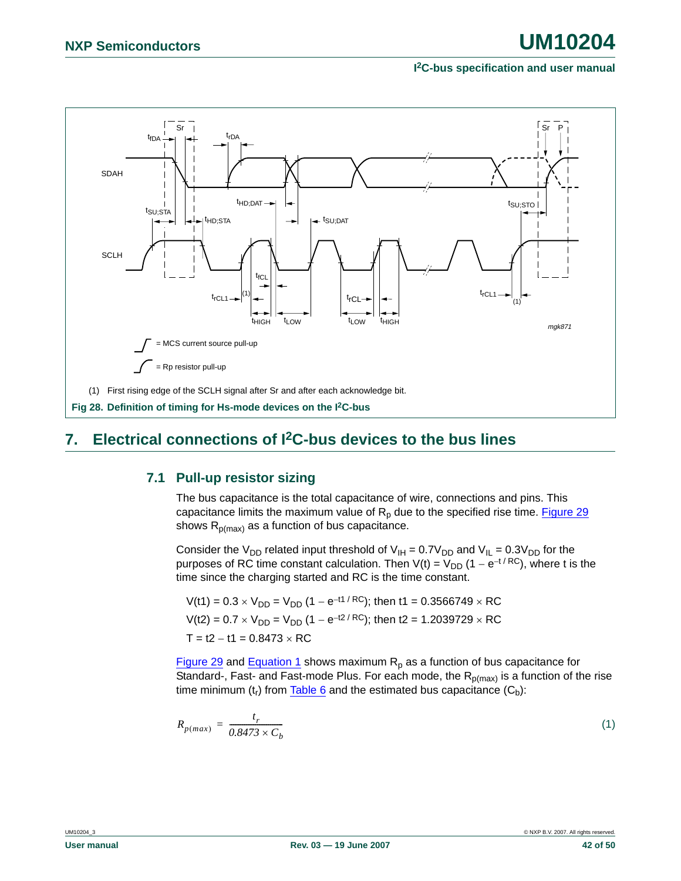

### <span id="page-41-3"></span><span id="page-41-2"></span><span id="page-41-0"></span>**7. Electrical connections of I2C-bus devices to the bus lines**

### **7.1 Pull-up resistor sizing**

The bus capacitance is the total capacitance of wire, connections and pins. This capacitance limits the maximum value of  $R_p$  due to the specified rise time. [Figure 29](#page-42-1) shows  $R_{p(max)}$  as a function of bus capacitance.

Consider the V<sub>DD</sub> related input threshold of V<sub>IH</sub> = 0.7V<sub>DD</sub> and V<sub>IL</sub> = 0.3V<sub>DD</sub> for the purposes of RC time constant calculation. Then  $V(t) = V_{DD} (1 - e^{-t/RC})$ , where t is the time since the charging started and RC is the time constant.

$$
V(t1) = 0.3 \times V_{DD} = V_{DD} (1 - e^{-t1/RC}); \text{ then } t1 = 0.3566749 \times RC
$$
  

$$
V(t2) = 0.7 \times V_{DD} = V_{DD} (1 - e^{-t2/RC}); \text{ then } t2 = 1.2039729 \times RC
$$
  

$$
T = t2 - t1 = 0.8473 \times RC
$$

[Figure 29](#page-42-1) and [Equation 1](#page-41-1) shows maximum  $R_p$  as a function of bus capacitance for Standard-, Fast- and Fast-mode Plus. For each mode, the  $R_{p(max)}$  is a function of the rise time minimum  $(t_r)$  from  $\frac{Table 6}{6}$  $\frac{Table 6}{6}$  $\frac{Table 6}{6}$  and the estimated bus capacitance  $(C_b)$ :

<span id="page-41-1"></span>
$$
R_{p(max)} = \frac{t_r}{0.8473 \times C_b} \tag{1}
$$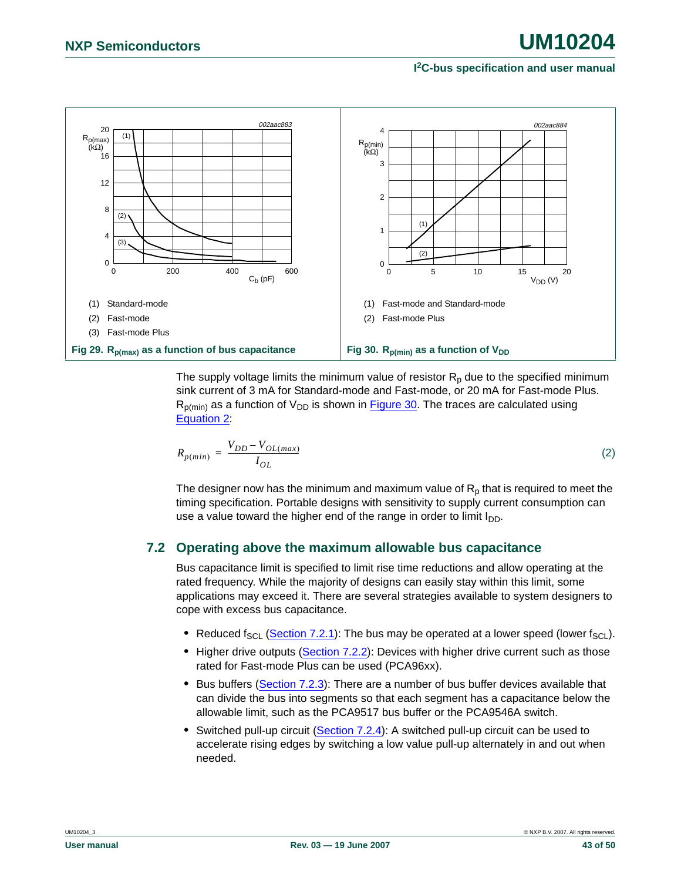

<span id="page-42-2"></span><span id="page-42-1"></span>The supply voltage limits the minimum value of resistor  $R_p$  due to the specified minimum sink current of 3 mA for Standard-mode and Fast-mode, or 20 mA for Fast-mode Plus.  $R_{\text{D}(min)}$  as a function of  $V_{\text{DD}}$  is shown in [Figure 30](#page-42-2). The traces are calculated using [Equation 2](#page-42-3):

<span id="page-42-3"></span>
$$
R_{p(min)} = \frac{V_{DD} - V_{OL(max)}}{I_{OL}}
$$
\n(2)

The designer now has the minimum and maximum value of  $R<sub>p</sub>$  that is required to meet the timing specification. Portable designs with sensitivity to supply current consumption can use a value toward the higher end of the range in order to limit  $I_{DD}$ .

### <span id="page-42-0"></span>**7.2 Operating above the maximum allowable bus capacitance**

Bus capacitance limit is specified to limit rise time reductions and allow operating at the rated frequency. While the majority of designs can easily stay within this limit, some applications may exceed it. There are several strategies available to system designers to cope with excess bus capacitance.

- Reduced f<sub>SCL</sub> [\(Section 7.2.1\)](#page-43-0): The bus may be operated at a lower speed (lower f<sub>SCL</sub>).
- Higher drive outputs ([Section 7.2.2](#page-43-1)): Devices with higher drive current such as those rated for Fast-mode Plus can be used (PCA96xx).
- **•** Bus buffers ([Section 7.2.3](#page-43-2)): There are a number of bus buffer devices available that can divide the bus into segments so that each segment has a capacitance below the allowable limit, such as the PCA9517 bus buffer or the PCA9546A switch.
- **•** Switched pull-up circuit ([Section 7.2.4](#page-44-0)): A switched pull-up circuit can be used to accelerate rising edges by switching a low value pull-up alternately in and out when needed.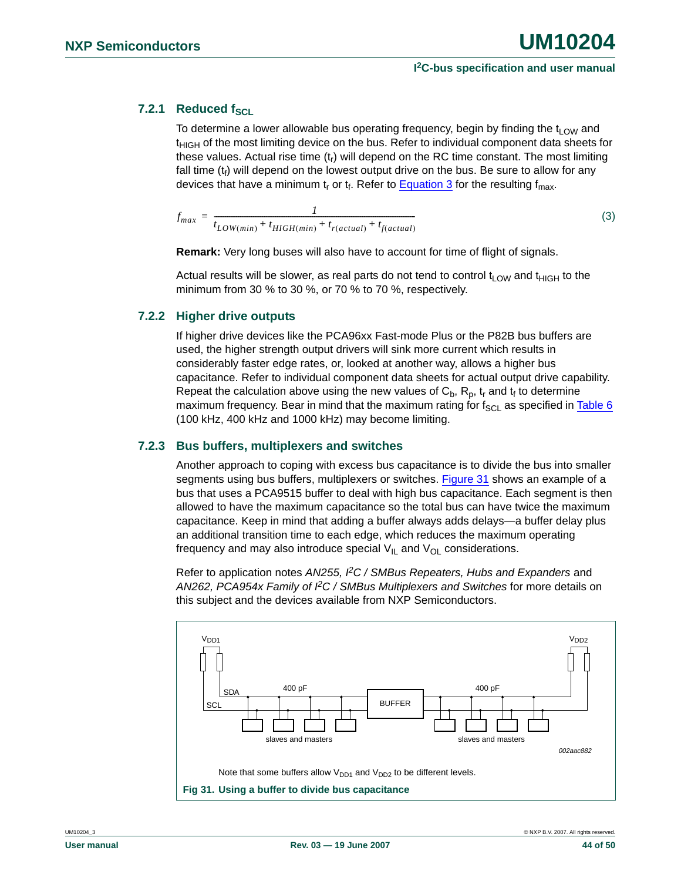### <span id="page-43-0"></span>**7.2.1 Reduced fscl**

To determine a lower allowable bus operating frequency, begin by finding the  $t_{LOW}$  and  $t_{\text{HIGH}}$  of the most limiting device on the bus. Refer to individual component data sheets for these values. Actual rise time  $(t<sub>r</sub>)$  will depend on the RC time constant. The most limiting fall time  $(t_f)$  will depend on the lowest output drive on the bus. Be sure to allow for any devices that have a minimum t<sub>r</sub> or t<sub>f</sub>. Refer to [Equation 3](#page-43-3) for the resulting  $f_{max}$ .

<span id="page-43-3"></span>
$$
f_{max} = \frac{1}{t_{LOW(min)} + t_{HIGH(min)} + t_{r(actual)} + t_{f(actual)}}
$$
(3)

**Remark:** Very long buses will also have to account for time of flight of signals.

Actual results will be slower, as real parts do not tend to control  $t_{\text{LOW}}$  and  $t_{\text{HIGH}}$  to the minimum from 30 % to 30 %, or 70 % to 70 %, respectively.

#### <span id="page-43-1"></span>**7.2.2 Higher drive outputs**

If higher drive devices like the PCA96xx Fast-mode Plus or the P82B bus buffers are used, the higher strength output drivers will sink more current which results in considerably faster edge rates, or, looked at another way, allows a higher bus capacitance. Refer to individual component data sheets for actual output drive capability. Repeat the calculation above using the new values of  $C_b$ ,  $R_p$ ,  $t_r$  and  $t_f$  to determine maximum frequency. Bear in mind that the maximum rating for  $f_{SC}$  as specified in [Table 6](#page-36-0) (100 kHz, 400 kHz and 1000 kHz) may become limiting.

#### <span id="page-43-2"></span>**7.2.3 Bus buffers, multiplexers and switches**

Another approach to coping with excess bus capacitance is to divide the bus into smaller segments using bus buffers, multiplexers or switches. [Figure 31](#page-43-4) shows an example of a bus that uses a PCA9515 buffer to deal with high bus capacitance. Each segment is then allowed to have the maximum capacitance so the total bus can have twice the maximum capacitance. Keep in mind that adding a buffer always adds delays—a buffer delay plus an additional transition time to each edge, which reduces the maximum operating frequency and may also introduce special  $V_{I\!L}$  and  $V_{O\!L}$  considerations.

Refer to application notes *AN255, PC / SMBus Repeaters, Hubs and Expanders* and *AN262, PCA954x Family of I2C / SMBus Multiplexers and Switches* for more details on this subject and the devices available from NXP Semiconductors.

<span id="page-43-4"></span>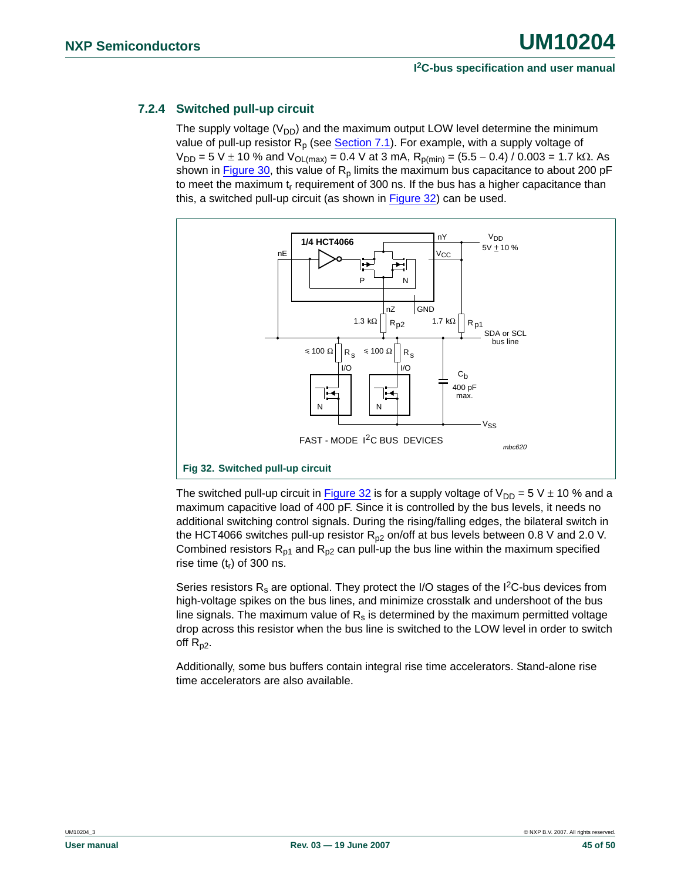### <span id="page-44-0"></span>**7.2.4 Switched pull-up circuit**

The supply voltage  $(V_{DD})$  and the maximum output LOW level determine the minimum value of pull-up resistor  $R_p$  (see **[Section 7.1](#page-41-2))**. For example, with a supply voltage of  $V_{DD}$  = 5 V  $\pm$  10 % and  $V_{OL(max)}$  = 0.4 V at 3 mA,  $R_{p(min)}$  = (5.5 – 0.4) / 0.003 = 1.7 kΩ. As shown in [Figure 30,](#page-42-2) this value of  $R_p$  limits the maximum bus capacitance to about 200 pF to meet the maximum  $t_r$  requirement of 300 ns. If the bus has a higher capacitance than this, a switched pull-up circuit (as shown in [Figure 32](#page-44-1)) can be used.



<span id="page-44-1"></span>The switched pull-up circuit in **Figure 32** is for a supply voltage of  $V_{DD} = 5V \pm 10$  % and a maximum capacitive load of 400 pF. Since it is controlled by the bus levels, it needs no additional switching control signals. During the rising/falling edges, the bilateral switch in the HCT4066 switches pull-up resistor  $R_{p2}$  on/off at bus levels between 0.8 V and 2.0 V. Combined resistors  $R_{p1}$  and  $R_{p2}$  can pull-up the bus line within the maximum specified rise time  $(t_r)$  of 300 ns.

Series resistors  $R_s$  are optional. They protect the I/O stages of the I<sup>2</sup>C-bus devices from high-voltage spikes on the bus lines, and minimize crosstalk and undershoot of the bus line signals. The maximum value of  $R_s$  is determined by the maximum permitted voltage drop across this resistor when the bus line is switched to the LOW level in order to switch off  $R_{p2}$ .

Additionally, some bus buffers contain integral rise time accelerators. Stand-alone rise time accelerators are also available.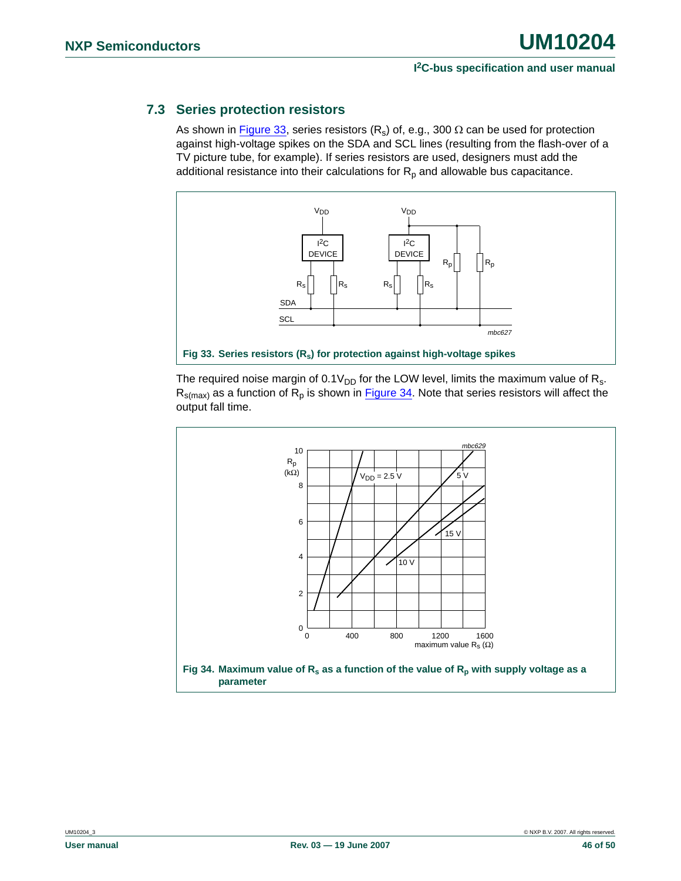### <span id="page-45-2"></span>**7.3 Series protection resistors**

As shown in [Figure 33](#page-45-0), series resistors  $(R_s)$  of, e.g., 300  $\Omega$  can be used for protection against high-voltage spikes on the SDA and SCL lines (resulting from the flash-over of a TV picture tube, for example). If series resistors are used, designers must add the additional resistance into their calculations for  $R_p$  and allowable bus capacitance.



<span id="page-45-0"></span>The required noise margin of  $0.1V_{DD}$  for the LOW level, limits the maximum value of R<sub>s</sub>.  $R_{s(max)}$  as a function of  $R_p$  is shown in **Figure 34**. Note that series resistors will affect the output fall time.

<span id="page-45-1"></span>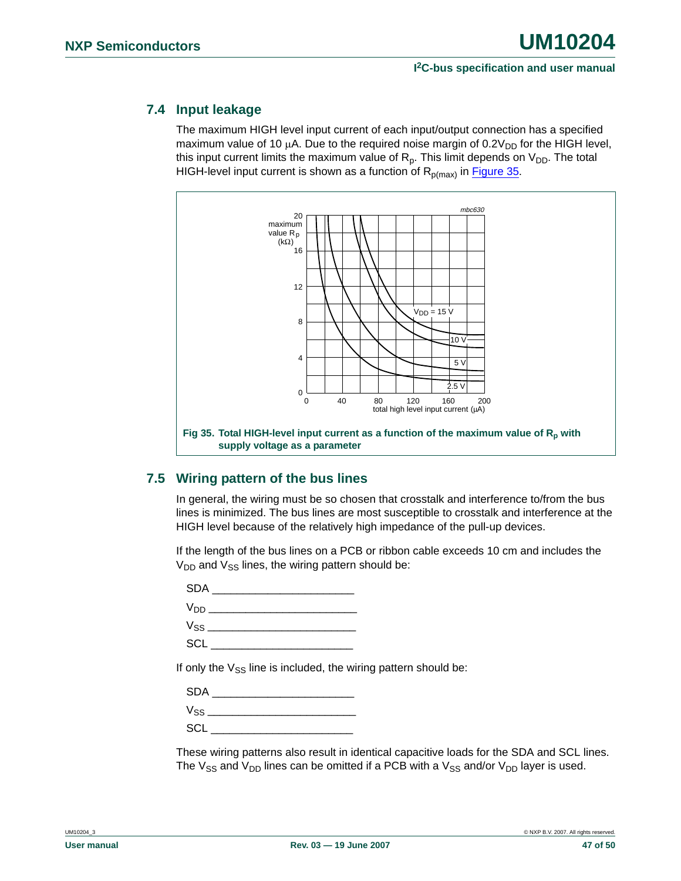### <span id="page-46-1"></span>**7.4 Input leakage**

The maximum HIGH level input current of each input/output connection has a specified maximum value of 10  $\mu$ A. Due to the required noise margin of 0.2 $V_{DD}$  for the HIGH level, this input current limits the maximum value of  $R_p$ . This limit depends on  $V_{DD}$ . The total HIGH-level input current is shown as a function of  $R_{p(max)}$  in [Figure 35.](#page-46-0)



### <span id="page-46-2"></span><span id="page-46-0"></span>**7.5 Wiring pattern of the bus lines**

In general, the wiring must be so chosen that crosstalk and interference to/from the bus lines is minimized. The bus lines are most susceptible to crosstalk and interference at the HIGH level because of the relatively high impedance of the pull-up devices.

If the length of the bus lines on a PCB or ribbon cable exceeds 10 cm and includes the  $V_{DD}$  and  $V_{SS}$  lines, the wiring pattern should be:

 $SDA$ VDD \_\_\_\_\_\_\_\_\_\_\_\_\_\_\_\_\_\_\_\_\_\_\_\_ VSS \_\_\_\_\_\_\_\_\_\_\_\_\_\_\_\_\_\_\_\_\_\_\_\_ SCL \_\_\_\_\_\_\_\_\_\_\_\_\_\_\_\_\_\_\_\_\_\_\_

If only the  $V_{SS}$  line is included, the wiring pattern should be:

| <b>SDA</b> |  |
|------------|--|
|            |  |
| SCL        |  |

These wiring patterns also result in identical capacitive loads for the SDA and SCL lines. The  $V_{SS}$  and  $V_{DD}$  lines can be omitted if a PCB with a  $V_{SS}$  and/or  $V_{DD}$  layer is used.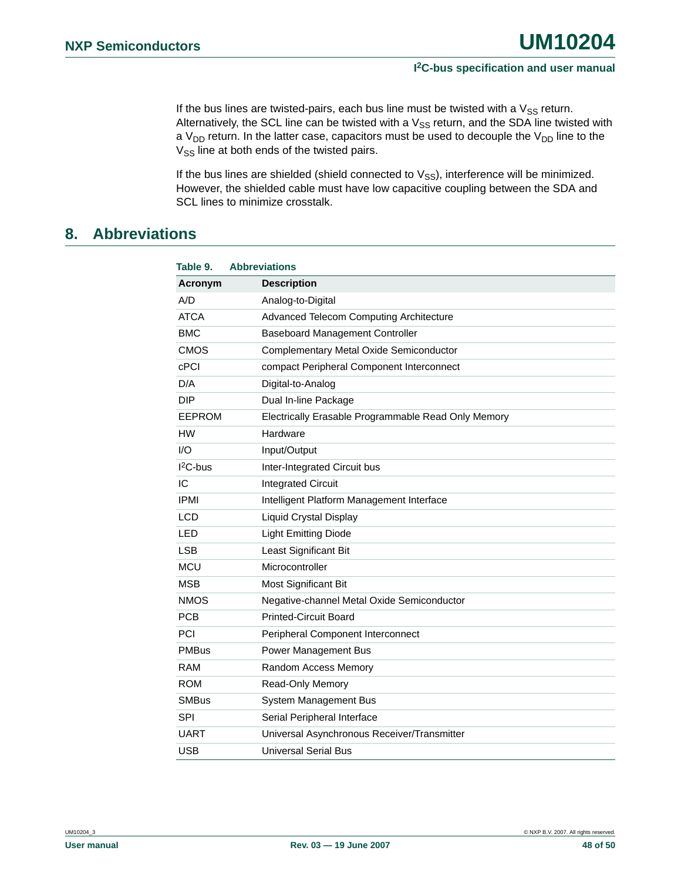If the bus lines are twisted-pairs, each bus line must be twisted with a  $V_{SS}$  return. Alternatively, the SCL line can be twisted with a  $V_{SS}$  return, and the SDA line twisted with a  $V_{DD}$  return. In the latter case, capacitors must be used to decouple the  $V_{DD}$  line to the V<sub>SS</sub> line at both ends of the twisted pairs.

If the bus lines are shielded (shield connected to  $V_{SS}$ ), interference will be minimized. However, the shielded cable must have low capacitive coupling between the SDA and SCL lines to minimize crosstalk.

### <span id="page-47-0"></span>**8. Abbreviations**

| Table 9.      | <b>Abbreviations</b>                                |
|---------------|-----------------------------------------------------|
| Acronym       | <b>Description</b>                                  |
| A/D           | Analog-to-Digital                                   |
| ATCA          | Advanced Telecom Computing Architecture             |
| <b>BMC</b>    | <b>Baseboard Management Controller</b>              |
| <b>CMOS</b>   | Complementary Metal Oxide Semiconductor             |
| <b>cPCI</b>   | compact Peripheral Component Interconnect           |
| D/A           | Digital-to-Analog                                   |
| DIP           | Dual In-line Package                                |
| <b>EEPROM</b> | Electrically Erasable Programmable Read Only Memory |
| <b>HW</b>     | Hardware                                            |
| 1/O           | Input/Output                                        |
| $12C$ -bus    | Inter-Integrated Circuit bus                        |
| IC            | <b>Integrated Circuit</b>                           |
| <b>IPMI</b>   | Intelligent Platform Management Interface           |
| <b>LCD</b>    | <b>Liquid Crystal Display</b>                       |
| <b>LED</b>    | <b>Light Emitting Diode</b>                         |
| <b>LSB</b>    | Least Significant Bit                               |
| <b>MCU</b>    | Microcontroller                                     |
| <b>MSB</b>    | <b>Most Significant Bit</b>                         |
| <b>NMOS</b>   | Negative-channel Metal Oxide Semiconductor          |
| <b>PCB</b>    | <b>Printed-Circuit Board</b>                        |
| <b>PCI</b>    | Peripheral Component Interconnect                   |
| <b>PMBus</b>  | Power Management Bus                                |
| RAM           | Random Access Memory                                |
| <b>ROM</b>    | Read-Only Memory                                    |
| <b>SMBus</b>  | <b>System Management Bus</b>                        |
| <b>SPI</b>    | Serial Peripheral Interface                         |
| UART          | Universal Asynchronous Receiver/Transmitter         |
| <b>USB</b>    | <b>Universal Serial Bus</b>                         |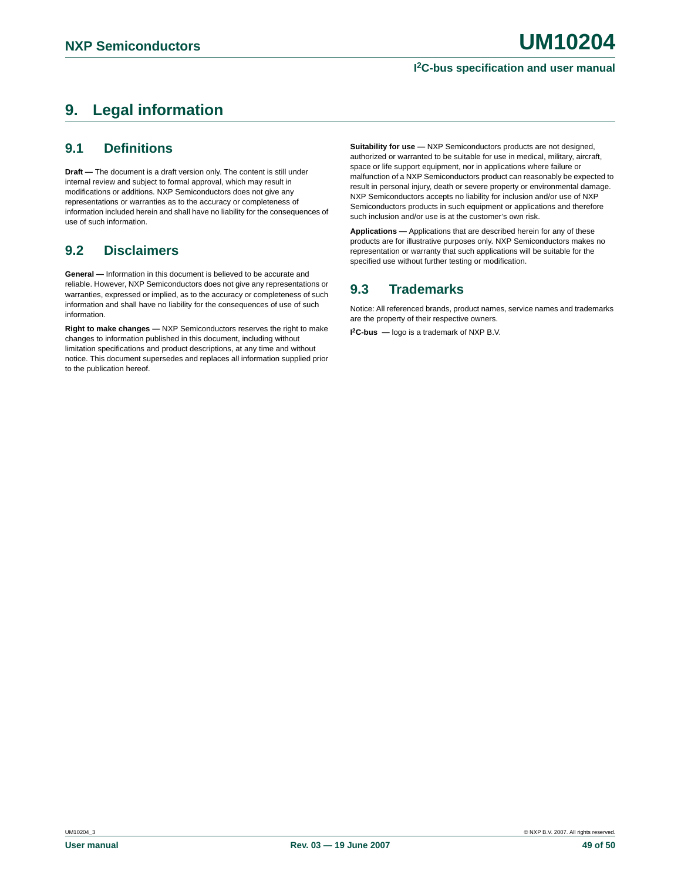## <span id="page-48-0"></span>**9. Legal information**

### <span id="page-48-1"></span>**9.1 Definitions**

**Draft —** The document is a draft version only. The content is still under internal review and subject to formal approval, which may result in modifications or additions. NXP Semiconductors does not give any representations or warranties as to the accuracy or completeness of information included herein and shall have no liability for the consequences of use of such information.

### <span id="page-48-2"></span>**9.2 Disclaimers**

**General —** Information in this document is believed to be accurate and reliable. However, NXP Semiconductors does not give any representations or warranties, expressed or implied, as to the accuracy or completeness of such information and shall have no liability for the consequences of use of such information.

**Right to make changes —** NXP Semiconductors reserves the right to make changes to information published in this document, including without limitation specifications and product descriptions, at any time and without notice. This document supersedes and replaces all information supplied prior to the publication hereof.

**Suitability for use —** NXP Semiconductors products are not designed, authorized or warranted to be suitable for use in medical, military, aircraft, space or life support equipment, nor in applications where failure or malfunction of a NXP Semiconductors product can reasonably be expected to result in personal injury, death or severe property or environmental damage. NXP Semiconductors accepts no liability for inclusion and/or use of NXP Semiconductors products in such equipment or applications and therefore such inclusion and/or use is at the customer's own risk.

**Applications —** Applications that are described herein for any of these products are for illustrative purposes only. NXP Semiconductors makes no representation or warranty that such applications will be suitable for the specified use without further testing or modification.

### <span id="page-48-3"></span>**9.3 Trademarks**

Notice: All referenced brands, product names, service names and trademarks are the property of their respective owners.

**I 2C-bus —** logo is a trademark of NXP B.V.